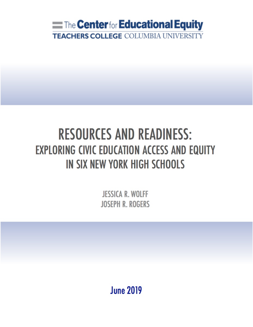

# **RESOURCES AND READINESS: EXPLORING CIVIC EDUCATION ACCESS AND EQUITY** IN SIX NEW YORK HIGH SCHOOLS

**JESSICA R. WOLFF JOSEPH R. ROGERS** 

**June 2019**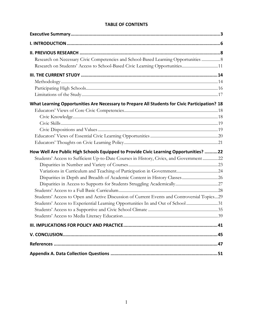# **TABLE OF CONTENTS**

| Research on Necessary Civic Competencies and School-Based Learning Opportunities  8<br>Research on Students' Access to School-Based Civic Learning Opportunities11 |  |
|--------------------------------------------------------------------------------------------------------------------------------------------------------------------|--|
|                                                                                                                                                                    |  |
|                                                                                                                                                                    |  |
|                                                                                                                                                                    |  |
|                                                                                                                                                                    |  |
| What Learning Opportunities Are Necessary to Prepare All Students for Civic Participation? 18                                                                      |  |
|                                                                                                                                                                    |  |
|                                                                                                                                                                    |  |
|                                                                                                                                                                    |  |
|                                                                                                                                                                    |  |
|                                                                                                                                                                    |  |
|                                                                                                                                                                    |  |
| How Well Are Public High Schools Equipped to Provide Civic Learning Opportunities? 22                                                                              |  |
| Students' Access to Sufficient Up-to-Date Courses in History, Civics, and Government22                                                                             |  |
|                                                                                                                                                                    |  |
|                                                                                                                                                                    |  |
|                                                                                                                                                                    |  |
|                                                                                                                                                                    |  |
|                                                                                                                                                                    |  |
| Students' Access to Open and Active Discussion of Current Events and Controversial Topics29                                                                        |  |
| Students' Access to Experiential Learning Opportunities In and Out of School31                                                                                     |  |
|                                                                                                                                                                    |  |
|                                                                                                                                                                    |  |
|                                                                                                                                                                    |  |
|                                                                                                                                                                    |  |
|                                                                                                                                                                    |  |
|                                                                                                                                                                    |  |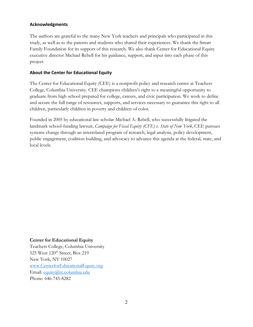# **Acknowledgments**

The authors are grateful to the many New York teachers and principals who participated in this study, as well as to the parents and students who shared their experiences. We thank the Smart Family Foundation for its support of this research. We also thank Center for Educational Equity executive director Michael Rebell for his guidance, support, and input into each phase of this project.

# **About the Center for Educational Equity**

The Center for Educational Equity (CEE) is a nonprofit policy and research center at Teachers College, Columbia University. CEE champions children's right to a meaningful opportunity to graduate from high school prepared for college, careers, and civic participation. We work to define and secure the full range of resources, supports, and services necessary to guarantee this right to all children, particularly children in poverty and children of color.

Founded in 2005 by educational law scholar Michael A. Rebell, who successfully litigated the landmark school-funding lawsuit, *Campaign for Fiscal Equity (CFE) v. State of New York*, CEE pursues systems change through an interrelated program of research, legal analysis, policy development, public engagement, coalition building, and advocacy to advance this agenda at the federal, state, and local levels.

# **Center for Educational Equity**

Teachers College, Columbia University 525 West 120<sup>th</sup> Street, Box 219 New York, NY 10027 www.CenterforEducationalEquity.org Email: equity@tc.columbia.edu Phone: 646-745-8282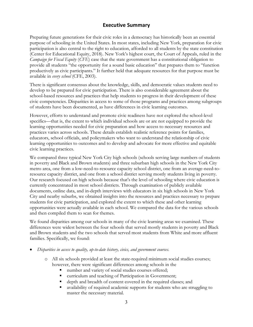# **Executive Summary**

Preparing future generations for their civic roles in a democracy has historically been an essential purpose of schooling in the United States. In most states, including New York, preparation for civic participation is also central to the right to education, afforded to all students by the state constitution (Center for Educational Equity, 2018). New York's highest court, the Court of Appeals, ruled in the *Campaign for Fiscal Equity* (*CFE*) case that the state government has a constitutional obligation to provide all students "the opportunity for a sound basic education" that prepares them to "function productively as civic participants." It further held that adequate resources for that purpose must be available in *every school* (CFE, 2003).

There is significant consensus about the knowledge, skills, and democratic values students need to develop to be prepared for civic participation. There is also considerable agreement about the school-based resources and practices that help students to progress in their development of these civic competencies. Disparities in access to some of those programs and practices among subgroups of students have been documented, as have differences in civic learning outcomes.

However, efforts to understand and promote civic readiness have not explored the school-level specifics—that is, the extent to which individual schools are or are not equipped to provide the learning opportunities needed for civic preparation and how access to necessary resources and practices varies across schools. These details establish realistic reference points for families, educators, school officials, and policymakers who want to understand the relationship of civic learning opportunities to outcomes and to develop and advocate for more effective and equitable civic learning practices.

We compared three typical New York City high schools (schools serving large numbers of students in poverty and Black and Brown students) and three suburban high schools in the New York City metro area, one from a low-need-to-resource capacity school district, one from an average-need-toresource capacity district, and one from a school district serving mostly students living in poverty. Our research focused on high schools because that's the level of schooling where civic education is currently concentrated in most school districts. Through examination of publicly available documents, online data, and in-depth interviews with educators in six high schools in New York City and nearby suburbs, we obtained insights into the resources and practices necessary to prepare students for civic participation, and explored the extent to which these and other learning opportunities were actually available in each school. We compared the data for the various schools and then compiled them to scan for themes.

We found disparities among our schools in many of the civic learning areas we examined. These differences were widest between the four schools that served mostly students in poverty and Black and Brown students and the two schools that served most students from White and more affluent families. Specifically, we found:

- *Disparities in access to quality, up-to-date history, civics, and government courses.*
	- o All six schools provided at least the state-required minimum social studies courses; however, there were significant differences among schools in the
		- number and variety of social studies courses offered;
		- curriculum and teaching of Participation in Government;
		- depth and breadth of content covered in the required classes; and
		- availability of required academic supports for students who are struggling to master the necessary material.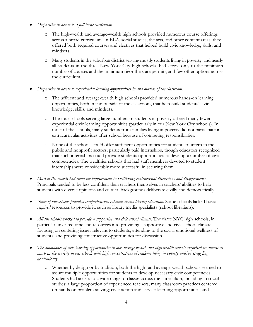- *Disparities in access to a full basic curriculum*.
	- o The high-wealth and average-wealth high schools provided numerous course offerings across a broad curriculum. In ELA, social studies, the arts, and other content areas, they offered both required courses and electives that helped build civic knowledge, skills, and mindsets.
	- o Many students in the suburban district serving mostly students living in poverty, and nearly all students in the three New York City high schools, had access only to the minimum number of courses and the minimum rigor the state permits, and few other options across the curriculum.
- *Disparities in access to experiential learning opportunities in and outside of the classroom*.
	- o The affluent and average-wealth high schools provided numerous hands-on learning opportunities, both in and outside of the classroom, that help build students' civic knowledge, skills, and mindsets.
	- o The four schools serving large numbers of students in poverty offered many fewer experiential civic learning opportunities (particularly in our New York City schools). In most of the schools, many students from families living in poverty did not participate in extracurricular activities after school because of competing responsibilities.
	- o None of the schools could offer sufficient opportunities for students to intern in the public and nonprofit sectors, particularly paid internships, though educators recognized that such internships could provide students opportunities to develop a number of civic competencies. The wealthier schools that had staff members devoted to student internships were considerably more successful in securing them.
- *Most of the schools had room for improvement in facilitating controversial discussions and disagreements.*  Principals tended to be less confident than teachers themselves in teachers' abilities to help students with diverse opinions and cultural backgrounds deliberate civilly and democratically.
- *None of our schools provided comprehensive, coherent media literacy education*. Some schools lacked basic *required* resources to provide it, such as library media specialists (school librarians).
- *All the schools worked to provide a supportive and civic school climate*. The three NYC high schools, in particular, invested time and resources into providing a supportive and civic school climate, focusing on centering issues relevant to students, attending to the social-emotional wellness of students, and providing constructive opportunities for discussion.
- *The abundance of civic learning opportunities in our average-wealth and high-wealth schools surprised us almost as much as the scarcity in our schools with high concentrations of students living in poverty and/or struggling academically*.
	- o Whether by design or by tradition, both the high- and average-wealth schools seemed to assure multiple opportunities for students to develop necessary civic competencies. Students had access to a wide range of classes across the curriculum, including in social studies; a large proportion of experienced teachers; many classroom practices centered on hands-on problem solving; civic-action and service-learning opportunities; and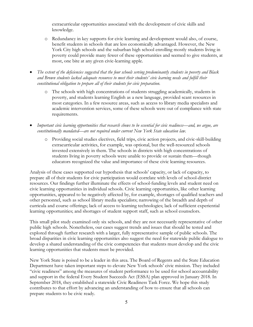extracurricular opportunities associated with the development of civic skills and knowledge.

- o Redundancy in key supports for civic learning and development would also, of course, benefit students in schools that are less economically advantaged. However, the New York City high schools and the suburban high school enrolling mostly students living in poverty could provide many fewer of these opportunities and seemed to give students, at most, one bite at any given civic-learning apple.
- *The extent of the deficiencies suggested that the four schools serving predominantly students in poverty and Black and Brown students lacked adequate resources to meet their students' civic learning needs and fulfill their constitutional obligation to prepare all of their students for civic preparation.* 
	- o The schools with high concentrations of students struggling academically, students in poverty, and students learning English as a new language, provided scant resources in most categories. In a few resource areas, such as access to library media specialists and academic intervention services, some of these schools were out of compliance with state requirements.
- *Important civic learning opportunities that research shows to be essential for civic readiness—and, we argue, are constitutionally mandated—are not required under current New York State education law.*
	- o Providing social studies electives, field trips, civic action projects, and civic-skill-building extracurricular activities, for example, was optional, but the well-resourced schools invested extensively in them. The schools in districts with high concentrations of students living in poverty schools were unable to provide or sustain them—though educators recognized the value and importance of these civic learning resources.

Analysis of these cases supported our hypothesis that schools' capacity, or lack of capacity, to prepare all of their students for civic participation would correlate with levels of school-district resources. Our findings further illuminate the effects of school-funding levels and student need on civic learning opportunities in individual schools. Civic learning opportunities, like other learning opportunities, appeared to be negatively affected by, for example, shortages of qualified teachers and other personnel, such as school library media specialists; narrowing of the breadth and depth of curricula and course offerings; lack of access to learning technologies; lack of sufficient experiential learning opportunities; and shortages of student support staff, such as school counselors.

This small pilot study examined only six schools, and they are not necessarily representative of other public high schools. Nonetheless, our cases suggest trends and issues that should be tested and explored through further research with a larger, fully representative sample of public schools. The broad disparities in civic learning opportunities also suggest the need for statewide public dialogue to develop a shared understanding of the civic competencies that students must develop and the civic learning opportunities that students must be provided.

New York State is poised to be a leader in this area. The Board of Regents and the State Education Department have taken important steps to elevate New York schools' civic mission. They included "civic readiness" among the measures of student performance to be used for school accountability and support in the federal Every Student Succeeds Act (ESSA) plan approved in January 2018. In September 2018, they established a statewide Civic Readiness Task Force. We hope this study contributes to that effort by advancing an understanding of how to ensure that all schools can prepare students to be civic ready.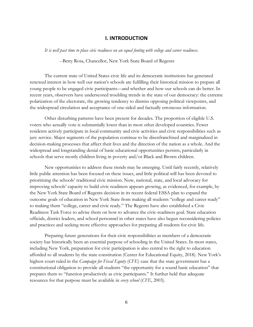# **I. INTRODUCTION**

*It is well past time to place civic readiness on an equal footing with college and career readiness.*

--Betty Rosa, Chancellor, New York State Board of Regents

The current state of United States civic life and its democratic institutions has generated renewed interest in how well our nation's schools are fulfilling their historical mission to prepare all young people to be engaged civic participants—and whether and how our schools can do better. In recent years, observers have underscored troubling trends in the state of our democracy: the extreme polarization of the electorate, the growing tendency to dismiss opposing political viewpoints, and the widespread circulation and acceptance of one-sided and factually erroneous information.

Other disturbing patterns have been present for decades. The proportion of eligible U.S. voters who actually vote is substantially lower than in most other developed countries. Fewer residents actively participate in local community and civic activities and civic responsibilities such as jury service. Major segments of the population continue to be disenfranchised and marginalized in decision-making processes that affect their lives and the direction of the nation as a whole. And the widespread and longstanding denial of basic educational opportunities persists, particularly in schools that serve mostly children living in poverty and/or Black and Brown children.

New opportunities to address these trends may be emerging. Until fairly recently, relatively little public attention has been focused on these issues, and little political will has been devoted to prioritizing the schools' traditional civic mission. Now, national, state, and local advocacy for improving schools' capacity to build civic readiness appears growing, as evidenced, for example, by the New York State Board of Regents decision in its recent federal ESSA plan to expand the outcome goals of education in New York State from making all students "college and career ready" to making them "college, career and civic ready." The Regents have also established a Civic Readiness Task Force to advise them on how to advance the civic-readiness goal. State education officials, district leaders, and school personnel in other states have also begun reconsidering policies and practices and seeking more effective approaches for preparing all students for civic life.

Preparing future generations for their civic responsibilities as members of a democratic society has historically been an essential purpose of schooling in the United States. In most states, including New York, preparation for civic participation is also central to the right to education afforded to all students by the state constitution (Center for Educational Equity, 2018). New York's highest court ruled in the *Campaign for Fiscal Equity* (*CFE*) case that the state government has a constitutional obligation to provide all students "the opportunity for a sound basic education" that prepares them to "function productively as civic participants." It further held that adequate resources for that purpose must be available in *every school* (*CFE*, 2003).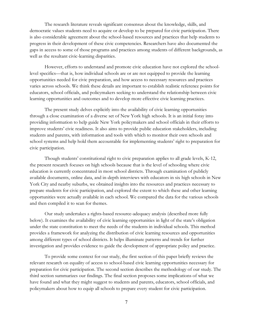The research literature reveals significant consensus about the knowledge, skills, and democratic values students need to acquire or develop to be prepared for civic participation. There is also considerable agreement about the school-based resources and practices that help students to progress in their development of these civic competencies. Researchers have also documented the gaps in access to some of those programs and practices among students of different backgrounds, as well as the resultant civic-learning disparities.

However, efforts to understand and promote civic education have not explored the schoollevel specifics—that is, how individual schools are or are not equipped to provide the learning opportunities needed for civic preparation, and how access to necessary resources and practices varies across schools. We think these details are important to establish realistic reference points for educators, school officials, and policymakers seeking to understand the relationship between civic learning opportunities and outcomes and to develop more effective civic learning practices.

The present study delves explicitly into the availability of civic learning opportunities through a close examination of a diverse set of New York high schools. It is an initial foray into providing information to help guide New York policymakers and school officials in their efforts to improve students' civic readiness. It also aims to provide public education stakeholders, including students and parents, with information and tools with which to monitor their own schools and school systems and help hold them accountable for implementing students' right to preparation for civic participation.

Though students' constitutional right to civic preparation applies to all grade levels, K-12, the present research focuses on high schools because that is the level of schooling where civic education is currently concentrated in most school districts. Through examination of publicly available documents, online data, and in-depth interviews with educators in six high schools in New York City and nearby suburbs, we obtained insights into the resources and practices necessary to prepare students for civic participation, and explored the extent to which these and other learning opportunities were actually available in each school. We compared the data for the various schools and then compiled it to scan for themes.

Our study undertakes a rights-based resource-adequacy analysis (described more fully below). It examines the availability of civic learning opportunities in light of the state's obligation under the state constitution to meet the needs of the students in individual schools. This method provides a framework for analyzing the distribution of civic learning resources and opportunities among different types of school districts. It helps illuminate patterns and trends for further investigation and provides evidence to guide the development of appropriate policy and practice.

To provide some context for our study, the first section of this paper briefly reviews the relevant research on equality of access to school-based civic learning opportunities necessary for preparation for civic participation. The second section describes the methodology of our study. The third section summarizes our findings. The final section proposes some implications of what we have found and what they might suggest to students and parents, educators, school officials, and policymakers about how to equip all schools to prepare every student for civic participation.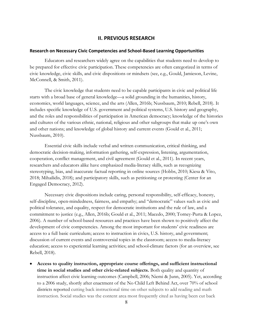# **II. PREVIOUS RESEARCH**

# **Research on Necessary Civic Competencies and School-Based Learning Opportunities**

Educators and researchers widely agree on the capabilities that students need to develop to be prepared for effective civic participation. These competencies are often categorized in terms of civic knowledge, civic skills, and civic dispositions or mindsets (see, e.g., Gould, Jamieson, Levine, McConnell, & Smith, 2011).

The civic knowledge that students need to be capable participants in civic and political life starts with a broad base of general knowledge—a solid grounding in the humanities, history, economics, world languages, science, and the arts (Allen, 2016b; Nussbaum, 2010; Rebell, 2018). It includes specific knowledge of U.S. government and political systems, U.S. history and geography, and the roles and responsibilities of participation in American democracy; knowledge of the histories and cultures of the various ethnic, national, religious and other subgroups that make up one's own and other nations; and knowledge of global history and current events (Gould et al., 2011; Nussbaum, 2010).

Essential civic skills include verbal and written communication, critical thinking, and democratic decision-making, information gathering, self-expression, listening, argumentation, cooperation, conflict management, and civil agreement (Gould et al., 2011). In recent years, researchers and educators alike have emphasized media-literacy skills, such as recognizing stereotyping, bias, and inaccurate factual reporting in online sources (Hobbs, 2010; Kiesa & Vito, 2018; Mihailidis, 2018); and participatory skills, such as petitioning or protesting (Center for an Engaged Democracy, 2012).

Necessary civic dispositions include caring, personal responsibility, self-efficacy, honesty, self-discipline, open-mindedness, fairness, and empathy; and "democratic" values such as civic and political tolerance, and equality, respect for democratic institutions and the rule of law, and a commitment to justice (e.g., Allen, 2016b; Gould et al., 2011; Macedo, 2000; Torney-Purta & Lopez, 2006). A number of school-based resources and practices have been shown to positively affect the development of civic competencies. Among the most important for students' civic readiness are access to a full basic curriculum; access to instruction in civics, U.S. history, and government; discussion of current events and controversial topics in the classroom; access to media-literacy education; access to experiential learning activities; and school-climate factors (for an overview, see Rebell, 2018).

• **Access to quality instruction, appropriate course offerings, and sufficient instructional time in social studies and other civic-related subjects.** Both quality and quantity of instruction affect civic learning outcomes (Campbell, 2006; Niemi & Junn, 2005). Yet, according to a 2006 study, shortly after enactment of the No Child Left Behind Act, over 70% of school districts reported cutting back instructional time on other subjects to add reading and math instruction. Social studies was the content area most frequently cited as having been cut back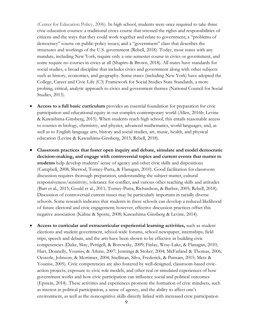(Center for Education Policy, 2006). In high school, students were once required to take three civic-education courses: a traditional civics course that stressed the rights and responsibilities of citizens and the ways that they could work together and relate to government; a "problems of democracy" course on public-policy issues; and a "government" class that describes the structures and workings of the U.S. government (Rebell, 2018). Today, most states with any mandate, including New York, require only a one-semester course in civics or government, and some require no courses in civics at all (Shapiro & Brown, 2018). All states have standards for social studies, a broad discipline that includes civics and government along with other subjects such as history, economics, and geography. Some states (including New York) have adopted the College, Career and Civic Life (C3) Framework for Social Studies State Standards, a more probing, critical, analytic approach to civics and government themes (National Council for Social Studies, 2013).

- **Access to a full basic curriculum** provides an essential foundation for preparation for civic participation and educational equity in our complex contemporary world (Allen, 2016b; Levine & Kawashima-Ginsberg, 2015). When students reach high school, this entails reasonable access to courses in biology, chemistry, and physics, advanced mathematics, world languages, and, as well as to English language arts, history and social studies, art, music, health, and physical education (Levine & Kawashima-Ginsberg, 2015; Rebell, 2018).
- **Classroom practices that foster open inquiry and debate, simulate and model democratic decision-making, and engage with controversial topics and current events that matter to students** help develop students' sense of agency and other civic skills and dispositions (Campbell, 2008; Sherrod, Torney-Purta, & Flanagan, 2010). Good facilitation for classroom discussion requires thorough preparation, understanding the subject matter, cultural responsiveness/sensitivity, tolerance for conflict, and various other teaching skills and attitudes (Barr et al., 2015; Gould et al., 2011; Torney-Purta, Richardson, & Barber, 2005; Rebell, 2018). Discussion of controversial current issues may be particularly important in racially diverse schools. Some research indicates that students in these schools can develop a reduced likelihood of future electoral and civic engagement; however, effective discussion practices offset this negative association (Kahne & Sporte, 2008; Kawashima-Ginsberg & Levine*,* 2014).
- **Access to curricular and extracurricular experiential learning activities,** such as student elections and student government, school-wide forums, school newspaper, internships, field trips, speech and debate, and the arts have been shown to be effective in building civic competencies (Duke, Skay, Pettigell, & Borowsky, 2009; Finlay, Wray-Lake, & Flanagan, 2010; Hart, Donnelly, Youniss, & Atkins, 2007; Jennings & Stoker, 2004; McFarland & Thomas, 2006; Oesterle, Johnson, & Mortimer, 2004; Snellman, Silva, Frederick, & Putnam, 2015; Metz & Youniss, 2005). Civic competencies are also fostered by well-designed, classroom-based civicaction projects, exposure to civic role models, and other real or simulated experiences of how government works and how civic participation can influence social and political outcomes (Epstein, 2014). These activities and experiences promote the formation of civic mindsets, such as interest in political participation, a sense of agency, and the ability to affect one's environment, as well as the noncognitive skills directly linked with increased civic participation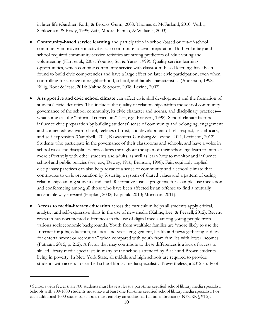in later life (Gardner, Roth, & Brooks-Gunn, 2008; Thomas & McFarland, 2010; Verba, Schlozman, & Brady, 1995; Zaff, Moore, Papillo, & Williams, 2003).

- **Community-based service learning** and participation in school-based or out-of-school community-improvement activities also contribute to civic preparation. Both voluntary and school-required community-service activities are strong predictors of adult voting and volunteering (Hart et al., 2007; Youniss, Su, & Yates, 1999). Quality service-learning opportunities, which combine community service with classroom-based learning, have been found to build civic competencies and have a large effect on later civic participation, even when controlling for a range of neighborhood, school, and family characteristics (Anderson, 1998; Billig, Root & Jesse, 2014; Kahne & Sporte, 2008; Levine, 2007).
- **A supportive and civic school climate** can affect civic skill development and the formation of students' civic identities. This includes the quality of relationships within the school community, governance of the school community, its civic character and norms, and disciplinary practices what some call the "informal curriculum" (see, e.g., Branson, 1998). School-climate factors influence civic preparation by building students' sense of community and belonging, engagement and connectedness with school, feelings of trust, and development of self-respect, self-efficacy, and self-expression (Campbell, 2012; Kawashima-Ginsburg & Levine, 2014; Levinson, 2012). Students who participate in the governance of their classrooms and schools, and have a voice in school rules and disciplinary procedures throughout the span of their schooling, learn to interact more effectively with other students and adults, as well as learn how to monitor and influence school and public policies (see, e.g., Dewey, 1916; Branson, 1998). Fair, equitably applied disciplinary practices can also help advance a sense of community and a school climate that contributes to civic preparation by fostering a system of shared values and a pattern of caring relationships among students and staff. Restorative-justice programs, for example, use mediation and conferencing among all those who have been affected by an offense to find a mutually acceptable way forward (Hopkin, 2002; Kupchik, 2010; Morrison, 2011).
- **Access to media-literacy education** across the curriculum helps all students apply critical, analytic, and self-expressive skills in the use of new media (Kahne, Lee, & Feezell, 2012). Recent research has documented differences in the use of digital media among young people from various socioeconomic backgrounds. Youth from wealthier families are "more likely to use the Internet for jobs, education, political and social engagement, health and news gathering and less for entertainment or recreation" when compared with youth from families with lower incomes (Putnam, 2015, p. 212). A factor that may contribute to these differences is a lack of access to skilled library media specialists in many of the schools attended by Black and Brown students living in poverty. In New York State, all middle and high schools are required to provide students with access to certified school library media specialists.<sup>1</sup> Nevertheless, a 2012 study of

 $\overline{a}$ 

<sup>1</sup> Schools with fewer than 700 students must have at least a part-time certified school library media specialist. Schools with 700-1000 students must have at least one full-time certified school library media specialist. For each additional 1000 students, schools must employ an additional full time librarian (8 NYCRR § 91.2).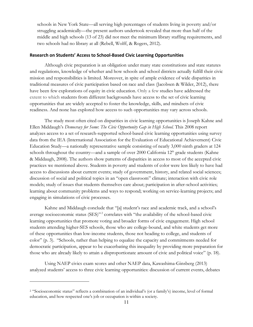schools in New York State—all serving high percentages of students living in poverty and/or struggling academically—the present authors undertook revealed that more than half of the middle and high schools (13 of 23) did not meet the minimum library staffing requirements, and two schools had no library at all (Rebell, Wolff, & Rogers, 2012).

#### **Research on Students' Access to School-Based Civic Learning Opportunities**

Although civic preparation is an obligation under many state constitutions and state statutes and regulations, knowledge of whether and how schools and school districts actually fulfill their civic mission and responsibilities is limited. Moreover, in spite of ample evidence of wide disparities in traditional measures of civic participation based on race and class (Jacobsen & Wilder, 2012), there have been few explorations of equity in civic education. Only a few studies have addressed the extent to which students from different backgrounds have access to the set of civic learning opportunities that are widely accepted to foster the knowledge, skills, and mindsets of civic readiness. And none has explored how access to such opportunities may vary across schools.

The study most often cited on disparities in civic learning opportunities is Joseph Kahne and Ellen Middaugh's *Democracy for Some*: *The Civic Opportunity Gap in High School.* This 2008 report analyzes access to a set of research-supported school-based civic learning opportunities using survey data from the IEA (International Association for the Evaluation of Educational Achievement) Civic Education Study—a nationally representative sample consisting of nearly 3,000 ninth graders at 124 schools throughout the country—and a sample of over  $2000$  California  $12<sup>th</sup>$  grade students (Kahne & Middaugh, 2008). The authors show patterns of disparities in access to most of the accepted civic practices we mentioned above. Students in poverty and students of color were less likely to have had access to discussions about current events; study of government, history, and related social sciences; discussion of social and political topics in an "open classroom" climate; interaction with civic role models; study of issues that students themselves care about; participation in after-school activities; learning about community problems and ways to respond; working on service-learning projects; and engaging in simulations of civic processes.

Kahne and Middaugh conclude that "[a] student's race and academic track, and a school's average socioeconomic status (SES)"<sup>2</sup> correlates with "the availability of the school-based civic learning opportunities that promote voting and broader forms of civic engagement. High school students attending higher-SES schools, those who are college-bound, and white students get more of these opportunities than low-income students, those not heading to college, and students of color" (p. 3). "Schools, rather than helping to equalize the capacity and commitments needed for democratic participation, appear to be exacerbating this inequality by providing more preparation for those who are already likely to attain a disproportionate amount of civic and political voice" (p. 18).

Using NAEP civics exam scores and other NAEP data, Kawashima-Ginsberg (2013) analyzed students' access to three civic learning opportunities: discussion of current events, debates

 $\overline{a}$ 

<sup>2</sup> "Socioeconomic status" reflects a combination of an individual's (or a family's) income, level of formal education, and how respected one's job or occupation is within a society.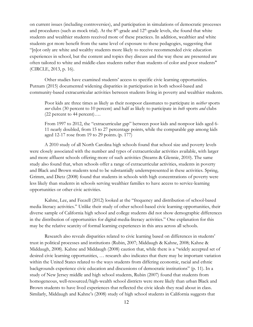on current issues (including controversies), and participation in simulations of democratic processes and procedures (such as mock trial). At the  $8<sup>th</sup>$ -grade and  $12<sup>th</sup>$ -grade levels, she found that white students and wealthier students received more of these practices. In addition, wealthier and white students got more benefit from the same level of exposure to these pedagogies, suggesting that "[n]ot only are white and wealthy students more likely to receive recommended civic education experiences in school, but the content and topics they discuss and the way these are presented are often tailored to white and middle-class students rather than students of color and poor students" (CIRCLE, 2013, p. 16).

Other studies have examined students' access to specific civic learning opportunities. Putnam (2015) documented widening disparities in participation in both school-based and community-based extracurricular activities between students living in poverty and wealthier students.

Poor kids are three times as likely as their nonpoor classmates to participate in *neither* sports *nor* clubs (30 percent to 10 percent) and half as likely to participate in *both* sports *and* clubs (22 percent to 44 percent)….

From 1997 to 2012, the "extracurricular gap" between poor kids and nonpoor kids aged 6- 11 nearly doubled, from 15 to 27 percentage points, while the comparable gap among kids aged 12-17 rose from 19 to 29 points.(p. 177)

A 2010 study of all North Carolina high schools found that school size and poverty levels were closely associated with the number and types of extracurricular activities available, with larger and more affluent schools offering more of such activities (Stearns & Glennie, 2010). The same study also found that, when schools offer a range of extracurricular activities, students in poverty and Black and Brown students tend to be substantially underrepresented in these activities. Spring, Grimm, and Dietz (2008) found that students in schools with high concentrations of poverty were less likely than students in schools serving wealthier families to have access to service-learning opportunities or other civic activities.

Kahne, Lee, and Feezell (2012) looked at the "frequency and distribution of school-based media literacy activities." Unlike their study of other school-based civic learning opportunities, their diverse sample of California high school and college students did not show demographic differences in the distribution of opportunities for digital-media-literacy activities." One explanation for this may be the relative scarcity of formal learning experiences in this area across all schools.

Research also reveals disparities related to civic learning based on differences in students' trust in political processes and institutions (Rubin, 2007; Middaugh & Kahne, 2008; Kahne & Middaugh, 2008). Kahne and Middaugh (2008) caution that, while there is a "widely accepted set of desired civic learning opportunities, … research also indicates that there may be important variation within the United States related to the ways students from differing economic, racial and ethnic backgrounds experience civic education and discussions of democratic institutions" (p. 11). In a study of New Jersey middle and high school students, Rubin (2007) found that students from homogeneous, well-resourced/high-wealth school districts were more likely than urban Black and Brown students to have lived experiences that reflected the civic ideals they read about in class. Similarly, Middaugh and Kahne's (2008) study of high school students in California suggests that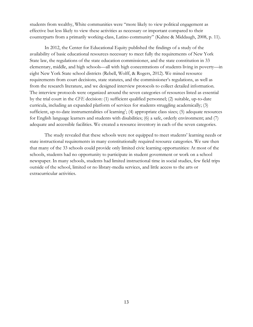students from wealthy, White communities were "more likely to view political engagement as effective but less likely to view these activities as necessary or important compared to their counterparts from a primarily working-class, Latino community" (Kahne & Middaugh, 2008, p. 11).

In 2012, the Center for Educational Equity published the findings of a study of the availability of basic educational resources necessary to meet fully the requirements of New York State law, the regulations of the state education commissioner, and the state constitution in 33 elementary, middle, and high schools—all with high concentrations of students living in poverty—in eight New York State school districts (Rebell, Wolff, & Rogers, 2012). We mined resource requirements from court decisions, state statutes, and the commissioner's regulations, as well as from the research literature, and we designed interview protocols to collect detailed information. The interview protocols were organized around the seven categories of resources listed as essential by the trial court in the *CFE* decision: (1) sufficient qualified personnel; (2) suitable, up-to-date curricula, including an expanded platform of services for students struggling academically; (3) sufficient, up-to-date instrumentalities of learning<sup>1</sup>; (4) appropriate class sizes; (5) adequate resources for English language learners and students with disabilities; (6) a safe, orderly environment; and (7) adequate and accessible facilities. We created a resource inventory in each of the seven categories.

The study revealed that these schools were not equipped to meet students' learning needs or state instructional requirements in many constitutionally required resource categories. We saw then that many of the 33 schools could provide only limited civic learning opportunities: At most of the schools, students had no opportunity to participate in student government or work on a school newspaper. In many schools, students had limited instructional time in social studies, few field trips outside of the school, limited or no library-media services, and little access to the arts or extracurricular activities.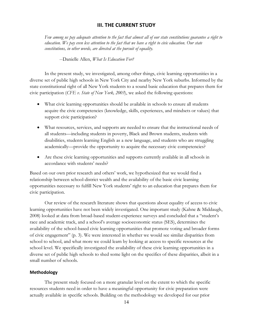# **III. THE CURRENT STUDY**

*Few among us pay adequate attention to the fact that almost all of our state constitutions guarantee a right to education. We pay even less attention to the fact that we have a right to civic education. Our state constitutions, in other words, are directed at the pursuit of equality.*

--Danielle Allen, *What Is Education For?*

In the present study, we investigated, among other things, civic learning opportunities in a diverse set of public high schools in New York City and nearby New York suburbs. Informed by the state constitutional right of all New York students to a sound basic education that prepares them for civic participation (*CFE v. State of New York, 2003*), we asked the following questions:

- What civic learning opportunities should be available in schools to ensure all students acquire the civic competencies (knowledge, skills, experiences, and mindsets or values) that support civic participation?
- What resources, services, and supports are needed to ensure that the instructional needs of all students—including students in poverty, Black and Brown students, students with disabilities, students learning English as a new language, and students who are struggling academically—provide the opportunity to acquire the necessary civic competencies?
- Are these civic learning opportunities and supports currently available in all schools in accordance with students' needs?

Based on our own prior research and others' work, we hypothesized that we would find a relationship between school-district wealth and the availability of the basic civic learning opportunities necessary to fulfill New York students' right to an education that prepares them for civic participation.

Our review of the research literature shows that questions about equality of access to civic learning opportunities have not been widely investigated. One important study (Kahne & Middaugh, 2008) looked at data from broad-based student-experience surveys and concluded that a "student's race and academic track, and a school's average socioeconomic status (SES), determines the availability of the school-based civic learning opportunities that promote voting and broader forms of civic engagement" (p. 3). We were interested in whether we would see similar disparities from school to school, and what more we could learn by looking at access to specific resources at the school level. We specifically investigated the availability of these civic learning opportunities in a diverse set of public high schools to shed some light on the specifics of these disparities, albeit in a small number of schools.

# **Methodology**

The present study focused on a more granular level on the extent to which the specific resources students need in order to have a meaningful opportunity for civic preparation were actually available in specific schools. Building on the methodology we developed for our prior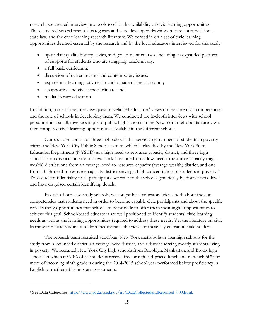research, we created interview protocols to elicit the availability of civic learning opportunities. These covered several resource categories and were developed drawing on state court decisions, state law, and the civic-learning research literature. We zeroed in on a set of civic learning opportunities deemed essential by the research and by the local educators interviewed for this study:

- up-to-date quality history, civics, and government courses, including an expanded platform of supports for students who are struggling academically;
- a full basic curriculum;
- discussion of current events and contemporary issues;
- experiential-learning activities in and outside of the classroom;
- a supportive and civic school climate; and
- media literacy education.

 $\overline{a}$ 

In addition, some of the interview questions elicited educators' views on the core civic competencies and the role of schools in developing them. We conducted the in-depth interviews with school personnel in a small, diverse sample of public high schools in the New York metropolitan area. We then compared civic learning opportunities available in the different schools.

Our six cases consist of three high schools that serve large numbers of students in poverty within the New York City Public Schools system, which is classified by the New York State Education Department (NYSED) as a high-need-to-resource-capacity district; and three high schools from districts outside of New York City: one from a low-need-to-resource-capacity (highwealth) district; one from an average-need-to-resource-capacity (average-wealth) district; and one from a high-need-to-resource-capacity district serving a high concentration of students in poverty.<sup>3</sup> To assure confidentiality to all participants, we refer to the schools generically by district-need level and have disguised certain identifying details.

In each of our case-study schools, we sought local educators' views both about the core competencies that students need in order to become capable civic participants and about the specific civic learning opportunities that schools must provide to offer them meaningful opportunities to achieve this goal. School-based educators are well positioned to identify students' civic learning needs as well as the learning opportunities required to address these needs. Yet the literature on civic learning and civic readiness seldom incorporates the views of these key education stakeholders.

The research team recruited suburban, New York metropolitan-area high schools for the study from a low-need district, an average-need district, and a district serving mostly students living in poverty. We recruited New York City high schools from Brooklyn, Manhattan, and Bronx high schools in which 60-90% of the students receive free or reduced-priced lunch and in which 50% or more of incoming ninth graders during the 2014-2015 school year performed below proficiency in English or mathematics on state assessments.

<sup>3</sup> See Data Categories, http://www.p12.nysed.gov/irs/DataCollectedandReported\_000.html.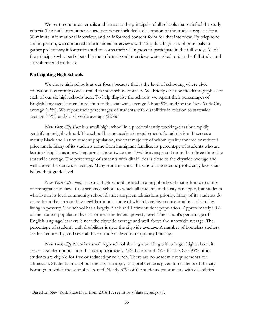We sent recruitment emails and letters to the principals of all schools that satisfied the study criteria. The initial recruitment correspondence included a description of the study, a request for a 30-minute informational interview, and an informed-consent form for that interview. By telephone and in person, we conducted informational interviews with 12 public high school principals to gather preliminary information and to assess their willingness to participate in the full study. All of the principals who participated in the informational interviews were asked to join the full study, and six volunteered to do so.

# **Participating High Schools**

 $\overline{a}$ 

We chose high schools as our focus because that is the level of schooling where civic education is currently concentrated in most school districts. We briefly describe the demographics of each of our six high schools here. To help disguise the schools, we report their percentages of English language learners in relation to the statewide average (about 9%) and/or the New York City average (13%). We report their percentages of students with disabilities in relation to statewide average (17%) and/or citywide average (22%).<sup>4</sup>

*New York City East* is a small high school in a predominantly working-class but rapidly gentrifying neighborhood. The school has no academic requirements for admission. It serves a mostly Black and Latinx student population, the vast majority of whom qualify for free or reducedprice lunch. Many of its students come from immigrant families; its percentage of students who are learning English as a new language is about twice the citywide average and more than three times the statewide average. The percentage of students with disabilities is close to the citywide average and well above the statewide average. Many students enter the school at academic proficiency levels far below their grade level.

*New York City South* is a small high school located in a neighborhood that is home to a mix of immigrant families. It is a screened school to which all students in the city can apply, but students who live in its local community school district are given admissions priority. Many of its students do come from the surrounding neighborhoods, some of which have high concentrations of families living in poverty. The school has a largely Black and Latinx student population. Approximately 90% of the student population lives at or near the federal poverty level. The school's percentage of English language learners is near the citywide average and well above the statewide average. The percentage of students with disabilities is near the citywide average. A number of homeless shelters are located nearby, and several dozen students lived in temporary housing.

*New York City North* is a small high school sharing a building with a larger high school; it serves a student population that is approximately 75% Latinx and 25% Black. Over 95% of its students are eligible for free or reduced-price lunch. There are no academic requirements for admission. Students throughout the city can apply, but preference is given to residents of the city borough in which the school is located. Nearly 30% of the students are students with disabilities

<sup>4</sup> Based on New York State Data from 2016-17; see https://data.nysed.gov/.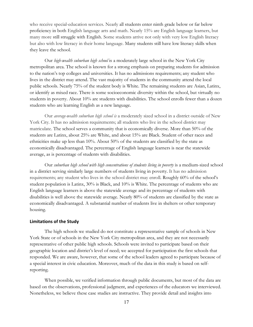who receive special-education services. Nearly all students enter ninth grade below or far below proficiency in both English language arts and math. Nearly 15% are English language learners, but many more still struggle with English. Some students arrive not only with very low English literacy but also with low literacy in their home language. Many students still have low literacy skills when they leave the school.

Our *high-wealth suburban high school* is a moderately large school in the New York City metropolitan area. The school is known for a strong emphasis on preparing students for admission to the nation's top colleges and universities. It has no admissions requirements; any student who lives in the district may attend. The vast majority of students in the community attend the local public schools. Nearly 75% of the student body is White. The remaining students are Asian, Latinx, or identify as mixed race. There is some socioeconomic diversity within the school, but virtually no students in poverty. About 10% are students with disabilities. The school enrolls fewer than a dozen students who are learning English as a new language.

Our *average-wealth suburban high school is* a moderately sized school in a district outside of New York City. It has no admission requirements; all students who live in the school district may matriculate. The school serves a community that is economically diverse. More than 50% of the students are Latinx, about 25% are White, and about 15% are Black. Student of other races and ethnicities make up less than 10%. About 50% of the students are classified by the state as economically disadvantaged. The percentage of English language learners is near the statewide average, as is percentage of students with disabilities.

Our *suburban high school with high concentrations of students living in poverty* is a medium-sized school in a district serving similarly large numbers of students living in poverty. It has no admission requirements; any student who lives in the school district may enroll. Roughly 60% of the school's student population is Latinx, 30% is Black, and 10% is White. The percentage of students who are English language learners is above the statewide average and its percentage of students with disabilities is well above the statewide average. Nearly 80% of students are classified by the state as economically disadvantaged. A substantial number of students live in shelters or other temporary housing.

#### **Limitations of the Study**

The high schools we studied do not constitute a representative sample of schools in New York State or of schools in the New York City metropolitan area, and they are not necessarily representative of other public high schools. Schools were invited to participate based on their geographic location and district's level of need; we accepted for participation the first schools that responded. We are aware, however, that some of the school leaders agreed to participate because of a special interest in civic education. Moreover, much of the data in this study is based on selfreporting.

When possible, we verified information through public documents, but most of the data are based on the observations, professional judgment, and experiences of the educators we interviewed. Nonetheless, we believe these case studies are instructive. They provide detail and insights into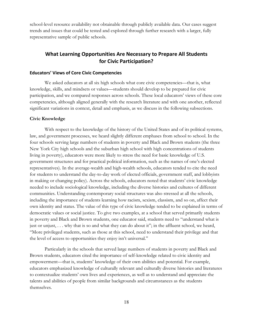school-level resource availability not obtainable through publicly available data. Our cases suggest trends and issues that could be tested and explored through further research with a larger, fully representative sample of public schools.

# **What Learning Opportunities Are Necessary to Prepare All Students for Civic Participation?**

# **Educators' Views of Core Civic Competencies**

We asked educators at all six high schools what core civic competencies—that is, what knowledge, skills, and mindsets or values—students should develop to be prepared for civic participation, and we compared responses across schools. These local educators' views of these core competencies, although aligned generally with the research literature and with one another, reflected significant variations in context, detail and emphasis, as we discuss in the following subsections.

#### **Civic Knowledge**

With respect to the knowledge of the history of the United States and of its political systems, law, and government processes, we heard slightly different emphases from school to school. In the four schools serving large numbers of students in poverty and Black and Brown students (the three New York City high schools and the suburban high school with high concentrations of students living in poverty), educators were more likely to stress the need for basic knowledge of U.S. government structures and for practical political information, such as the names of one's elected representatives). In the average-wealth and high-wealth schools, educators tended to cite the need for students to understand the day-to-day work of elected officials, government staff, and lobbyists in making or changing policy). Across the schools, educators noted that students' civic knowledge needed to include sociological knowledge, including the diverse histories and cultures of different communities. Understanding contemporary social structures was also stressed at all the schools, including the importance of students learning how racism, sexism, classism, and so on, affect their own identity and status. The value of this type of civic knowledge tended to be explained in terms of democratic values or social justice. To give two examples, at a school that served primarily students in poverty and Black and Brown students, one educator said, students need to "understand what is just or unjust, ... why that is so and what they can do about it"; in the affluent school, we heard, "More privileged students, such as those at this school, need to understand their privilege and that the level of access to opportunities they enjoy isn't universal."

Particularly in the schools that served large numbers of students in poverty and Black and Brown students, educators cited the importance of self-knowledge related to civic identity and empowerment—that is, students' knowledge of their own abilities and potential. For example, educators emphasized knowledge of culturally relevant and culturally diverse histories and literatures to contextualize students' own lives and experiences, as well as to understand and appreciate the talents and abilities of people from similar backgrounds and circumstances as the students themselves.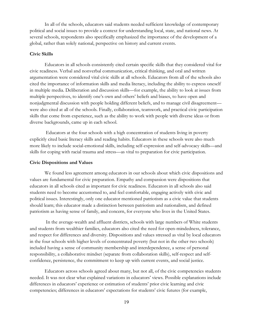In all of the schools, educators said students needed sufficient knowledge of contemporary political and social issues to provide a context for understanding local, state, and national news. At several schools, respondents also specifically emphasized the importance of the development of a global, rather than solely national, perspective on history and current events.

#### **Civic Skills**

Educators in all schools consistently cited certain specific skills that they considered vital for civic readiness. Verbal and nonverbal communication, critical thinking, and oral and written argumentation were considered vital civic skills at all schools. Educators from all of the schools also cited the importance of information skills and media literacy, including the ability to express oneself in multiple media. Deliberation and discussion skills—for example, the ability to look at issues from multiple perspectives, to identify one's own and others' beliefs and biases, to have open and nonjudgmental discussion with people holding different beliefs, and to manage civil disagreement were also cited at all of the schools. Finally, collaboration, teamwork, and practical civic participation skills that come from experience, such as the ability to work with people with diverse ideas or from diverse backgrounds, came up in each school.

Educators at the four schools with a high concentration of students living in poverty explicitly cited basic literacy skills and reading habits. Educators in these schools were also much more likely to include social-emotional skills, including self-expression and self-advocacy skills—and skills for coping with racial trauma and stress—as vital to preparation for civic participation.

#### **Civic Dispositions and Values**

We found less agreement among educators in our schools about which civic dispositions and values are fundamental for civic preparation. Empathy and compassion were dispositions that educators in all schools cited as important for civic readiness. Educators in all schools also said students need to become accustomed to, and feel comfortable, engaging actively with civic and political issues. Interestingly, only one educator mentioned patriotism as a civic value that students should learn; this educator made a distinction between patriotism and nationalism, and defined patriotism as having sense of family, and concern, for everyone who lives in the United States.

In the average-wealth and affluent districts, schools with large numbers of White students and students from wealthier families, educators also cited the need for open-mindedness, tolerance, and respect for differences and diversity. Dispositions and values stressed as vital by local educators in the four schools with higher levels of concentrated poverty (but not in the other two schools) included having a sense of community membership and interdependence, a sense of personal responsibility, a collaborative mindset (separate from collaboration skills), self-respect and selfconfidence, persistence, the commitment to keep up with current events, and social justice.

Educators across schools agreed about many, but not all, of the civic competencies students needed. It was not clear what explained variations in educators' views. Possible explanations include differences in educators' experience or estimation of students' prior civic learning and civic competencies; differences in educators' expectations for students' civic futures (for example,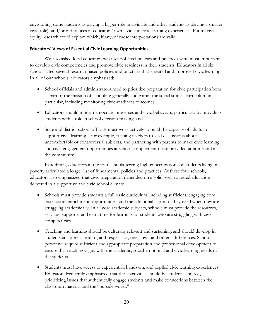envisioning some students as playing a bigger role in civic life and other students as playing a smaller civic role); and/or differences in educators' own civic and civic learning experiences. Future civicequity research could explore which, if any, of these interpretations are valid.

# **Educators' Views of Essential Civic Learning Opportunities**

We also asked local educators what school-level policies and practices were most important to develop civic competencies and promote civic readiness in their students. Educators in all six schools cited several research-based policies and practices that elevated and improved civic learning. In all of our schools, educators emphasized:

- School officials and administrators need to prioritize preparation for civic participation both as part of the mission of schooling generally and within the social studies curriculum in particular, including monitoring civic-readiness outcomes;
- Educators should model democratic processes and civic behaviors, particularly by providing students with a role in school decision-making; and
- State and district school officials must work actively to build the capacity of adults to support civic learning—for example, training teachers to lead discussions about uncomfortable or controversial subjects, and partnering with parents to make civic learning and civic engagement opportunities at school complement those provided at home and in the community.

In addition, educators in the four schools serving high concentrations of students living in poverty articulated a longer list of fundamental policies and practices. At these four schools, educators also emphasized that civic preparation depended on a solid, well-rounded education delivered in a supportive and civic school climate.

- Schools must provide students a full basic curriculum, including sufficient, engaging core instruction, enrichment opportunities, and the additional supports they need when they are struggling academically. In all core academic subjects, schools must provide the resources, services, supports, and extra time for learning for students who are struggling with civic competencies.
- Teaching and learning should be culturally relevant and sustaining, and should develop in students an appreciation of, and respect for, one's own and others' differences. School personnel require sufficient and appropriate preparation and professional development to ensure that teaching aligns with the academic, social-emotional and civic learning needs of the students.
- Students must have access to experiential, hands-on, and applied civic learning experiences. Educators frequently emphasized that these activities should be student-centered, prioritizing issues that authentically engage students and make connections between the classroom material and the "outside world."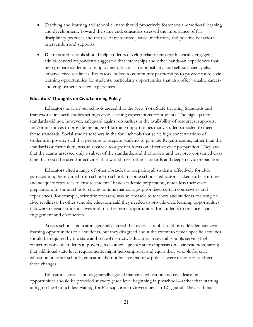- Teaching and learning and school climate should proactively foster social-emotional learning and development. Toward the same end, educators stressed the importance of fair disciplinary practices and the use of restorative justice, mediation, and positive behavioral intervention and supports.
- Districts and schools should help students develop relationships with civically engaged adults. Several respondents suggested that internships and other hands-on experiences that help prepare students for employment, financial responsibility, and self-sufficiency also enhance civic readiness. Educators looked to community partnerships to provide more civic learning opportunities for students, particularly opportunities that also offer valuable careerand employment-related experiences.

# **Educators' Thoughts on Civic Learning Policy**

Educators in all of our schools agreed that the New York State Learning Standards and frameworks in social studies set high civic-learning expectations for students. The high-quality standards did not, however, safeguard against disparities in the availability of resources, supports, and/or incentives to provide the range of learning opportunities many students needed to meet those standards. Social studies teachers in the four schools that serve high concentrations of students in poverty said that pressure to prepare students to pass the Regents exams, rather than the standards or curriculum, was an obstacle to a greater focus on effective civic preparation. They said that the exams assessed only a subset of the standards, and that review and test prep consumed class time that could be used for activities that would meet other standards and deepen civic preparation.

Educators cited a range of other obstacles to preparing all students effectively for civic participation; these varied from school to school. In some schools, educators lacked sufficient time and adequate resources to ensure students' basic academic preparation, much less their civic preparation. In some schools, strong notions that colleges prioritized certain coursework and experiences (for example, scientific research) was an obstacle to teachers and students focusing on civic readiness. In other schools, educators said they needed to provide civic learning opportunities that were relevant students' lives and to offer more opportunities for students to practice civic engagement and civic action.

Across schools, educators generally agreed that every school should provide adequate civic learning opportunities to all students, but they disagreed about the extent to which specific activities should be required by the state and school districts. Educators in several schools serving high concentrations of students in poverty, welcomed a greater state emphasis on civic readiness, saying that additional state-level requirements might help empower and equip their schools for civic education; in other schools, educators did not believe that new policies were necessary to effect these changes.

Educators across schools generally agreed that civic education and civic learning opportunities should be provided at every grade level beginning in preschool—rather than starting in high school (much less waiting for Participation in Government in  $12<sup>th</sup>$  grade). They said that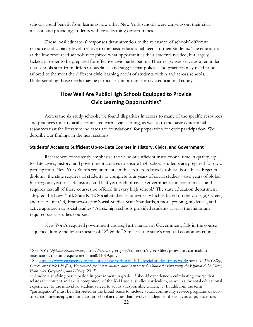schools could benefit from learning how other New York schools were carrying out their civic mission and providing students with civic learning opportunities.

These local educators' responses draw attention to the relevance of schools' different resource and capacity levels relative to the basic educational needs of their students. The educators at the low-resourced schools recognized what opportunities their students needed, but largely lacked, in order to be prepared for effective civic participation. Their responses serve as a reminder that schools start from different baselines, and suggest that policies and practices may need to be tailored to the meet the different civic learning needs of students within and across schools. Understanding those needs may be particularly important for civic educational equity.

# **How Well Are Public High Schools Equipped to Provide Civic Learning Opportunities?**

Across the six study schools, we found disparities in access to many of the specific resources and practices most typically connected with civic learning, as well as to the basic educational resources that the literature indicates are foundational for preparation for civic participation. We describe our findings in the next sections.

# **Students' Access to Sufficient Up-to-Date Courses in History, Civics, and Government**

Researchers consistently emphasize the value of sufficient instructional time in quality, upto-date civics, history, and government courses to ensure high school students are prepared for civic participation. New York State's requirements in this area are relatively robust. For a basic Regents diploma, the state requires all students to complete four years of social studies—two years of global history; one year of U.S. history; and half year each of civics/government and economics—and it requires that all of these courses be offered in every high school.<sup>5</sup> The state education department adopted the New York State K-12 Social Studies Framework, which is based on the College, Career, and Civic Life (C3) Framework for Social Studies State Standards, a more probing, analytical, and active approach to social studies.<sup>6</sup> All six high schools provided students at least the minimum required social studies courses.

New York's required government course, Participation in Government, falls in the course sequence during the first semester of  $12<sup>th</sup>$  grade.<sup>7</sup> Similarly, the state's required economics course,

 $\overline{a}$ 

<sup>5</sup> See *NYS Diploma Requirements*, http://www.nysed.gov/common/nysed/files/programs/curriculuminstruction/diplomarequirementsfinal011019.pdf.

<sup>6</sup> See https://www.engageny.org/resource/new-york-state-k-12-social-studies-framework; see also *The College, Career, and Civic Life (C3) Framework for Social Studies State Standards: Guidance for Enhancing the Rigor of K-12 Civics, Economics, Geography, and History* (2013).<br><sup>7</sup> "Students studying participation in government in grade 12 should experience a culminating course that

relates the content and skills component of the K-11 social studies curriculum, as well as the total educational experience, to the individual student's need to act as a responsible citizen. … In addition, the term "participation" must be interpreted in the broad sense to include actual community service programs or outof-school internships, and in-class, in-school activities that involve students in the analysis of public issues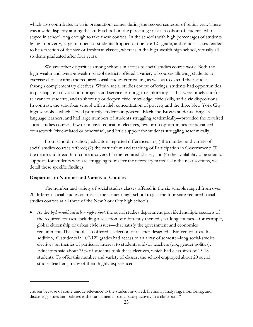which also contributes to civic preparation, comes during the second semester of senior year. There was a wide disparity among the study schools in the percentage of each cohort of students who stayed in school long enough to take these courses. In the schools with high percentages of students living in poverty, large numbers of students dropped out before 12<sup>th</sup> grade, and senior classes tended to be a fraction of the size of freshman classes, whereas in the high-wealth high school, virtually all students graduated after four years.

We saw other disparities among schools in access to social studies course work. Both the high-wealth and average-wealth school districts offered a variety of courses allowing students to exercise choice within the required social studies curriculum, as well as to extend their studies through complementary electives. Within social studies course offerings, students had opportunities to participate in civic-action projects and service learning, to explore topics that were timely and/or relevant to students, and to shore up or deepen civic knowledge, civic skills, and civic dispositions. In contrast, the suburban school with a high concentration of poverty and the three New York City high schools—which served primarily students in poverty, Black and Brown students, English language learners, and had large numbers of students struggling academically—provided the required social studies courses, few or no civic-education electives, few or no opportunities for advanced coursework (civic-related or otherwise), and little support for students struggling academically.

From school to school, educators reported differences in (1) the number and variety of social studies courses offered; (2) the curriculum and teaching of Participation in Government; (3) the depth and breadth of content covered in the required classes; and (4) the availability of academic supports for students who are struggling to master the necessary material. In the next sections, we detail these specific findings.

# **Disparities in Number and Variety of Courses**

 $\overline{a}$ 

The number and variety of social studies classes offered in the six schools ranged from over 20 different social studies courses at the affluent high school to just the four state-required social studies courses at all three of the New York City high schools.

• At the *high-wealth suburban high school*, the social studies department provided multiple sections of the required courses, including a selection of differently themed year-long courses—for example, global citizenship or urban civic issues—that satisfy the government and economics requirement. The school also offered a selection of teacher-designed advanced courses. In addition, all students in  $10<sup>th</sup> - 12<sup>th</sup>$  grades had access to an array of semester-long social-studies electives on themes of particular interest to students and/or teachers (e.g., gender politics). Educators said about 75% of students took these electives, which had class sizes of 15-18 students. To offer this number and variety of classes, the school employed about 20 social studies teachers, many of them highly experienced.

chosen because of some unique relevance to the student involved. Defining, analyzing, monitoring, and discussing issues and policies is the fundamental participatory activity in a classroom."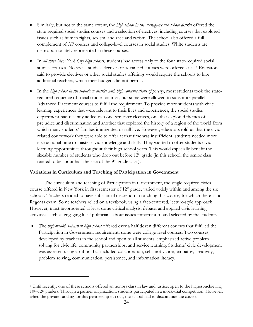- Similarly, but not to the same extent, the *high school in the average-wealth school district* offered the state-required social studies courses and a selection of electives, including courses that explored issues such as human rights, sexism, and race and racism. The school also offered a full complement of AP courses and college-level courses in social studies; White students are disproportionately represented in these courses.
- In *all three New York City high schools*, students had access only to the four state-required social studies courses. No social-studies electives or advanced courses were offered at all. <sup>8</sup> Educators said to provide electives or other social studies offerings would require the schools to hire additional teachers, which their budgets did not permit.
- In the *high school in the suburban district with high concentrations of poverty*, most students took the staterequired sequence of social studies courses, but some were allowed to substitute parallel Advanced Placement courses to fulfill the requirement. To provide more students with civic learning experiences that were relevant to their lives and experiences, the social studies department had recently added two one-semester electives, one that explored themes of prejudice and discrimination and another that explored the history of a region of the world from which many students' families immigrated or still live. However, educators told us that the civicrelated coursework they were able to offer at that time was insufficient; students needed more instructional time to master civic knowledge and skills. They wanted to offer students civic learning opportunities throughout their high school years. This would especially benefit the sizeable number of students who drop out before  $12<sup>th</sup>$  grade (in this school, the senior class tended to be about half the size of the  $9<sup>th</sup>$ -grade class).

# **Variations in Curriculum and Teaching of Participation in Government**

 $\overline{a}$ 

The curriculum and teaching of Participation in Government, the single required civics course offered in New York in first semester of  $12<sup>th</sup>$  grade, varied widely within and among the six schools. Teachers tended to have substantial discretion in teaching this course, for which there is no Regents exam. Some teachers relied on a textbook, using a fact-centered, lecture-style approach. However, most incorporated at least some critical analysis, debate, and applied civic learning activities, such as engaging local politicians about issues important to and selected by the students.

• The *high-wealth suburban high school* offered over a half dozen different courses that fulfilled the Participation in Government requirement; some were college-level courses. Two courses, developed by teachers in the school and open to all students, emphasized active problem solving for civic life, community partnerships, and service learning. Students' civic development was assessed using a rubric that included collaboration, self-motivation, empathy, creativity, problem solving, communication, persistence, and information literacy.

<sup>8</sup> Until recently, one of these schools offered an honors class in law and justice, open to the highest-achieving 10th-12th graders. Through a partner organization, students participated in a mock-trial competition. However, when the private funding for this partnership ran out, the school had to discontinue the course.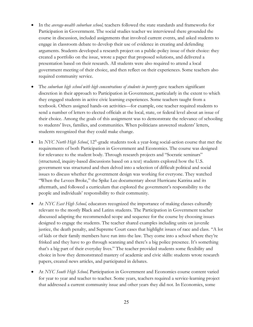- In the *average-wealth suburban school,* teachers followed the state standards and frameworks for Participation in Government. The social studies teacher we interviewed there grounded the course in discussion, included assignments that involved current events, and asked students to engage in classroom debate to develop their use of evidence in creating and defending arguments. Students developed a research project on a public-policy issue of their choice: they created a portfolio on the issue, wrote a paper that proposed solutions, and delivered a presentation based on their research. All students were also required to attend a local government meeting of their choice, and then reflect on their experiences. Some teachers also required community service.
- The *suburban high school with high concentrations of students in poverty* gave teachers significant discretion in their approach to Participation in Government, particularly in the extent to which they engaged students in active civic learning experiences. Some teachers taught from a textbook. Others assigned hands-on activities—for example, one teacher required students to send a number of letters to elected officials at the local, state, or federal level about an issue of their choice. Among the goals of this assignment was to demonstrate the relevance of schooling to students' lives, families, and communities. When politicians answered students' letters, students recognized that they could make change.
- In *NYC North High School*, 12<sup>th</sup>-grade students took a year-long social-action course that met the requirements of both Participation in Government and Economics. The course was designed for relevance to the student body. Through research projects and "Socratic seminars" (structured, inquiry-based discussions based on a text) students explored how the U.S. government was structured and then delved into a selection of difficult political and social issues to discuss whether the government design was working for everyone. They watched "When the Levees Broke," the Spike Lee documentary about Hurricane Katrina and its aftermath, and followed a curriculum that explored the government's responsibility to the people and individuals' responsibility to their community.
- At *NYC East High School,* educators recognized the importance of making classes culturally relevant to the mostly Black and Latinx students. The Participation in Government teacher discussed adapting the recommended scope and sequence for the course by choosing issues designed to engage the students. The teacher shared examples including units on juvenile justice, the death penalty, and Supreme Court cases that highlight issues of race and class. "A lot of kids or their family members have run into the law. They come into a school where they're frisked and they have to go through scanning and there's a big police presence. It's something that's a big part of their everyday lives." The teacher provided students some flexibility and choice in how they demonstrated mastery of academic and civic skills: students wrote research papers, created news articles, and participated in debates.
- At *NYC South High School,* Participation in Government and Economics course content varied for year to year and teacher to teacher. Some years, teachers required a service-learning project that addressed a current community issue and other years they did not. In Economics, some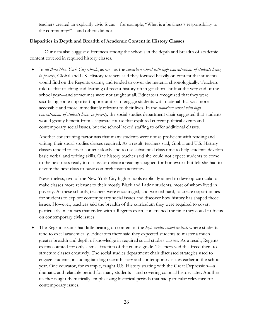teachers created an explicitly civic focus—for example, "What is a business's responsibility to the community?"—and others did not.

# **Disparities in Depth and Breadth of Academic Content in History Classes**

Our data also suggest differences among the schools in the depth and breadth of academic content covered in required history classes.

• In *all three New York City schools*, as well as the *suburban school with high concentrations of students living in poverty*, Global and U.S. History teachers said they focused heavily on content that students would find on the Regents exams, and tended to cover the material chronologically. Teachers told us that teaching and learning of recent history often get short shrift at the very end of the school year—and sometimes were not taught at all. Educators recognized that they were sacrificing some important opportunities to engage students with material that was more accessible and more immediately relevant to their lives. In the *suburban school with high concentrations of students living in poverty,* the social studies department chair suggested that students would greatly benefit from a separate course that explored current political events and contemporary social issues, but the school lacked staffing to offer additional classes.

Another constraining factor was that many students were not as proficient with reading and writing their social studies classes required. As a result, teachers said, Global and U.S. History classes tended to cover content slowly and to use substantial class time to help students develop basic verbal and writing skills. One history teacher said she could not expect students to come to the next class ready to discuss or debate a reading assigned for homework but felt she had to devote the next class to basic comprehension activities.

Nevertheless, two of the New York City high schools explicitly aimed to develop curricula to make classes more relevant to their mostly Black and Latinx students, most of whom lived in poverty. At these schools, teachers were encouraged, and worked hard, to create opportunities for students to explore contemporary social issues and discover how history has shaped those issues. However, teachers said the breadth of the curriculum they were required to cover, particularly in courses that ended with a Regents exam, constrained the time they could to focus on contemporary civic issues.

• The Regents exams had little bearing on content in the *high-wealth school district,* where students tend to excel academically. Educators there said they expected students to master a much greater breadth and depth of knowledge in required social studies classes. As a result, Regents exams counted for only a small fraction of the course grade. Teachers said this freed them to structure classes creatively. The social studies department chair discussed strategies used to engage students, including tackling recent history and contemporary issues earlier in the school year. One educator, for example, taught U.S. History starting with the Great Depression—a dramatic and relatable period for many students—and covering colonial history later. Another teacher taught thematically, emphasizing historical periods that had particular relevance for contemporary issues.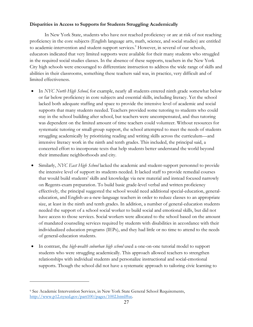# **Disparities in Access to Supports for Students Struggling Academically**

In New York State, students who have not reached proficiency or are at risk of not reaching proficiency in the core subjects (English language arts, math, science, and social studies) are entitled to academic-intervention and student-support services.<sup>9</sup> However, in several of our schools, educators indicated that very limited supports were available for their many students who struggled in the required social studies classes. In the absence of these supports, teachers in the New York City high schools were encouraged to differentiate instruction to address the wide range of skills and abilities in their classrooms, something these teachers said was, in practice, very difficult and of limited effectiveness.

- In *NYC North High School*, for example, nearly all students entered ninth grade somewhat below or far below proficiency in core subjects and essential skills, including literacy. Yet the school lacked both adequate staffing and space to provide the intensive level of academic and social supports that many students needed. Teachers provided some tutoring to students who could stay in the school building after school, but teachers were uncompensated, and thus tutoring was dependent on the limited amount of time teachers could volunteer. Without resources for systematic tutoring or small-group support, the school attempted to meet the needs of students struggling academically by prioritizing reading and writing skills across the curriculum—and intensive literacy work in the ninth and tenth grades. This included, the principal said, a concerted effort to incorporate texts that help students better understand the world beyond their immediate neighborhoods and city.
- Similarly, *NYC East High School* lacked the academic and student-support personnel to provide the intensive level of support its students needed. It lacked staff to provide remedial courses that would build students' skills and knowledge via new material and instead focused narrowly on Regents-exam preparation. To build basic grade-level verbal and written proficiency effectively, the principal suggested the school would need additional special-education, generaleducation, and English-as-a-new-language teachers in order to reduce classes to an appropriate size, at least in the ninth and tenth grades. In addition, a number of general-education students needed the support of a school social worker to build social and emotional skills, but did not have access to those services. Social workers were allocated to the school based on the amount of mandated counseling services required by students with disabilities in accordance with their individualized education programs (IEPs), and they had little or no time to attend to the needs of general-education students.
- In contrast, the *high-wealth suburban high school* used a one-on-one tutorial model to support students who were struggling academically. This approach allowed teachers to strengthen relationships with individual students and personalize instructional and social-emotional supports. Though the school did not have a systematic approach to tailoring civic learning to

 $\overline{a}$ 

<sup>9</sup> See Academic Intervention Services, in New York State General School Requirements, http://www.p12.nysed.gov/part100/pages/1002.html#ee.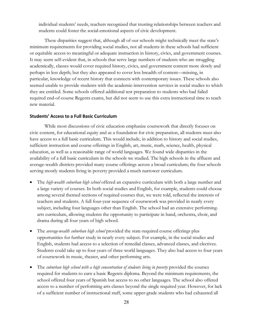individual students' needs, teachers recognized that trusting relationships between teachers and students could foster the social-emotional aspects of civic development.

These disparities suggest that, although all of our schools might technically meet the state's minimum requirements for providing social studies, not all students in these schools had sufficient or equitable access to meaningful or adequate instruction in history, civics, and government courses. It may seem self-evident that, in schools that serve large numbers of students who are struggling academically, classes would cover required history, civics, and government content more slowly and perhaps in less depth; but they also appeared to cover less breadth of content—missing, in particular, knowledge of recent history that connects with contemporary issues. These schools also seemed unable to provide students with the academic-intervention services in social studies to which they are entitled. Some schools offered additional test preparation to students who had failed required end-of-course Regents exams, but did not seem to use this extra instructional time to teach new material.

# **Students' Access to a Full Basic Curriculum**

While most discussions of civic education emphasize coursework that directly focuses on civic content, for educational equity and as a foundation for civic preparation, all students must also have access to a full basic curriculum. This would include, in addition to history and social studies, sufficient instruction and course offerings in English, art, music, math, science, health, physical education, as well as a reasonable range of world languages. We found wide disparities in the availability of a full basic curriculum in the schools we studied. The high schools in the affluent and average-wealth districts provided many course offerings across a broad curriculum; the four schools serving mostly students living in poverty provided a much narrower curriculum.

- The *high-wealth suburban high school* offered an expansive curriculum with both a large number and a large variety of courses. In both social studies and English, for example, students could choose among several themed sections of required courses that, we were told, reflected the interests of teachers and students. A full four-year sequence of coursework was provided in nearly every subject, including four languages other than English. The school had an extensive performingarts curriculum, allowing students the opportunity to participate in band, orchestra, choir, and drama during all four years of high school.
- The *average-wealth suburban high school* provided the state-required course offerings plus opportunities for further study in nearly every subject. For example, in the social studies and English, students had access to a selection of remedial classes, advanced classes, and electives. Students could take up to four years of three world languages. They also had access to four years of coursework in music, theater, and other performing arts.
- The *suburban high school with a high concentration of students living in poverty* provided the courses required for students to earn a basic Regents diploma. Beyond the minimum requirements, the school offered four years of Spanish but access to no other languages. The school also offered access to a number of performing arts classes beyond the single required year. However, for lack of a sufficient number of instructional staff, some upper-grade students who had exhausted all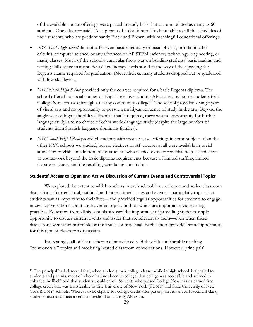of the available course offerings were placed in study halls that accommodated as many as 60 students. One educator said, "As a person of color, it hurts" to be unable to fill the schedules of their students, who are predominantly Black and Brown, with meaningful educational offerings.

- *NYC East High School* did not offer even basic chemistry or basic physics, nor did it offer calculus, computer science, or any advanced or AP STEM (science, technology, engineering, or math) classes. Much of the school's curricular focus was on building students' basic reading and writing skills, since many students' low literacy levels stood in the way of their passing the Regents exams required for graduation. (Nevertheless, many students dropped out or graduated with low skill levels.)
- *NYC North High School* provided only the courses required for a basic Regents diploma. The school offered no social studies or English electives and no AP classes, but some students took College Now courses through a nearby community college.<sup>10</sup> The school provided a single year of visual arts and no opportunity to pursue a multiyear sequence of study in the arts. Beyond the single year of high-school-level Spanish that is required, there was no opportunity for further language study, and no choice of other world-language study (despite the large number of students from Spanish-language-dominant families).
- *NYC South High School* provided students with more course offerings in some subjects than the other NYC schools we studied, but no electives or AP courses at all were available in social studies or English. In addition, many students who needed extra or remedial help lacked access to coursework beyond the basic diploma requirements because of limited staffing, limited classroom space, and the resulting scheduling constraints.

# **Students' Access to Open and Active Discussion of Current Events and Controversial Topics**

We explored the extent to which teachers in each school fostered open and active classroom discussion of current local, national, and international issues and events—particularly topics that students saw as important to their lives—and provided regular opportunities for students to engage in civil conversations about controversial topics, both of which are important civic learning practices. Educators from all six schools stressed the importance of providing students ample opportunity to discuss current events and issues that are relevant to them—even when these discussions were uncomfortable or the issues controversial. Each school provided some opportunity for this type of classroom discussion.

Interestingly, all of the teachers we interviewed said they felt comfortable teaching "controversial" topics and mediating heated classroom conversations. However, principals'

 $\overline{a}$ 

<sup>&</sup>lt;sup>10</sup> The principal had observed that, when students took college classes while in high school, it signaled to students and parents, most of whom had not been to college, that college was accessible and seemed to enhance the likelihood that students would enroll. Students who passed College Now classes earned free college credit that was transferable to City University of New York (CUNY) and State University of New York (SUNY) schools. Whereas to be eligible for college credit after passing an Advanced Placement class, students must also meet a certain threshold on a costly AP exam.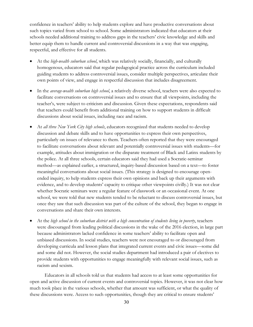confidence in teachers' ability to help students explore and have productive conversations about such topics varied from school to school. Some administrators indicated that educators at their schools needed additional training to address gaps in the teachers' civic knowledge and skills and better equip them to handle current and controversial discussions in a way that was engaging, respectful, and effective for all students.

- At the *high-wealth suburban school*, which was relatively socially, financially, and culturally homogenous, educators said that regular pedagogical practice across the curriculum included guiding students to address controversial issues, consider multiple perspectives, articulate their own points of view, and engage in respectful discussion that includes disagreement.
- In the *average-wealth suburban high school*, a relatively diverse school, teachers were also expected to facilitate conversations on controversial issues and to ensure that all viewpoints, including the teacher's, were subject to criticism and discussion. Given these expectations, respondents said that teachers could benefit from additional training on how to support students in difficult discussions about social issues, including race and racism.
- At *all three New York City high schools*, educators recognized that students needed to develop discussion and debate skills and to have opportunities to express their own perspectives, particularly on issues of relevance to them. Teachers often reported that they were encouraged to facilitate conversations about relevant and potentially controversial issues with students—for example, attitudes about immigration or the disparate treatment of Black and Latinx students by the police. At all three schools, certain educators said they had used a Socratic-seminar method—as explained earlier, a structured, inquiry-based discussion based on a text—to foster meaningful conversations about social issues. (This strategy is designed to encourage openended inquiry, to help students express their own opinions and back up their arguments with evidence, and to develop students' capacity to critique other viewpoints civilly.) It was not clear whether Socratic seminars were a regular feature of classwork or an occasional event. At one school, we were told that new students tended to be reluctant to discuss controversial issues, but once they saw that such discussion was part of the culture of the school, they began to engage in conversations and share their own interests.
- At the *high school in the suburban district with a high concentration of students living in poverty*, teachers were discouraged from leading political discussions in the wake of the 2016 election, in large part because administrators lacked confidence in some teachers' ability to facilitate open and unbiased discussions. In social studies, teachers were not encouraged to or discouraged from developing curricula and lesson plans that integrated current events and civic issues—some did and some did not. However, the social studies department had introduced a pair of electives to provide students with opportunities to engage meaningfully with relevant social issues, such as racism and sexism.

Educators in all schools told us that students had access to at least some opportunities for open and active discussion of current events and controversial topics. However, it was not clear how much took place in the various schools, whether that amount was sufficient, or what the quality of these discussions were. Access to such opportunities, though they are critical to ensure students'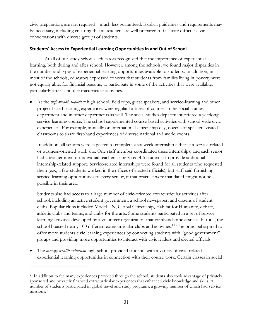civic preparation, are not required—much less guaranteed. Explicit guidelines and requirements may be necessary, including ensuring that all teachers are well prepared to facilitate difficult civic conversations with diverse groups of students.

# **Students' Access to Experiential Learning Opportunities In and Out of School**

At all of our study schools, educators recognized that the importance of experiential learning, both during and after school. However, among the schools, we found major disparities in the number and types of experiential learning opportunities available to students. In addition, in most of the schools, educators expressed concern that students from families living in poverty were not equally able, for financial reasons, to participate in some of the activities that were available, particularly after-school extracurricular activities.

• At the *high-wealth suburban* high school, field trips, guest speakers, and service-learning and other project-based learning experiences were regular features of courses in the social studies department and in other departments as well. The social studies department offered a yearlong service-learning course. The school supplemented course-based activities with school-wide civic experiences. For example, annually on international-citizenship day, dozens of speakers visited classrooms to share first-hand experiences of diverse national and world events.

In addition, all seniors were expected to complete a six-week internship either at a service-related or business-oriented work site. One staff member coordinated these internships, and each senior had a teacher mentor (individual teachers supervised 4-5 students) to provide additional internship-related support. Service-related internships were found for all students who requested them (e.g., a few students worked in the offices of elected officials), but staff said furnishing service-learning opportunities to every senior, if that practice were mandated, might not be possible in their area.

Students also had access to a large number of civic-oriented extracurricular activities after school, including an active student government, a school newspaper, and dozens of student clubs. Popular clubs included Model UN, Global Citizenship, Habitat for Humanity, debate, athletic clubs and teams, and clubs for the arts. Some students participated in a set of servicelearning activities developed by a volunteer organization that combats homelessness. In total, the school boasted nearly 100 different extracurricular clubs and activities.<sup>11</sup> The principal aspired to offer more students civic learning experiences by connecting students with "good government" groups and providing more opportunities to interact with civic leaders and elected officials.

• The *average-wealth suburban* high school provided students with a variety of civic-related experiential learning opportunities in connection with their course work. Certain classes in social

 $\overline{a}$ 

<sup>11</sup> In addition to the many experiences provided through the school, students also took advantage of privately sponsored and privately financed extracurricular experiences that enhanced civic knowledge and skills. A number of students participated in global travel and study programs, a growing number of which had service missions.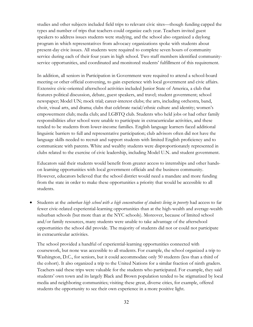studies and other subjects included field trips to relevant civic sites—though funding capped the types and number of trips that teachers could organize each year. Teachers invited guest speakers to address issues students were studying, and the school also organized a daylong program in which representatives from advocacy organizations spoke with students about present-day civic issues. All students were required to complete seven hours of community service during each of their four years in high school. Two staff members identified communityservice opportunities, and coordinated and monitored students' fulfillment of this requirement.

In addition, all seniors in Participation in Government were required to attend a school-board meeting or other official convening, to gain experience with local government and civic affairs. Extensive civic-oriented afterschool activities included Junior State of America, a club that features political discussion, debate, guest speakers, and travel; student government; school newspaper; Model UN; mock trial; career-interest clubs; the arts, including orchestra, band, choir, visual arts, and drama; clubs that celebrate racial/ethnic culture and identity; women's empowerment club; media club; and LGBTQ club. Students who held jobs or had other family responsibilities after school were unable to participate in extracurricular activities, and these tended to be students from lower-income families. English language learners faced additional linguistic barriers to full and representative participation; club advisors often did not have the language skills needed to recruit and support students with limited English proficiency and to communicate with parents. White and wealthy students were disproportionately represented in clubs related to the exercise of civic leadership, including Model U.N. and student government.

Educators said their students would benefit from greater access to internships and other handson learning opportunities with local government officials and the business community. However, educators believed that the school district would need a mandate and more funding from the state in order to make these opportunities a priority that would be accessible to all students.

• Students at the *suburban high school with a high concentration of students living in poverty* had access to far fewer civic-related experiential-learning opportunities than at the high-wealth and average-wealth suburban schools (but more than at the NYC schools). Moreover, because of limited school and/or family resources, many students were unable to take advantage of the afterschool opportunities the school did provide. The majority of students did not or could not participate in extracurricular activities.

The school provided a handful of experiential-learning opportunities connected with coursework, but none was accessible to all students. For example, the school organized a trip to Washington, D.C., for seniors, but it could accommodate only 50 students (less than a third of the cohort). It also organized a trip to the United Nations for a similar fraction of ninth graders. Teachers said these trips were valuable for the students who participated. For example, they said students' own town and its largely Black and Brown population tended to be stigmatized by local media and neighboring communities; visiting these great, diverse cities, for example, offered students the opportunity to see their own experience in a more positive light.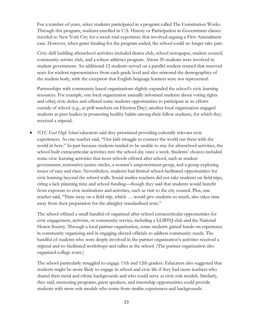For a number of years, select students participated in a program called The Constitution Works. Through this program, students enrolled in U.S. History or Participation in Government classes traveled to New York City for a mock-trial experience that involved arguing a First Amendment case. However, when grant funding for the program ended, the school could no longer take part.

Civic-skill building afterschool activities included drama club, school newspaper, student council, community service club, and a robust athletics program. About 20 students were involved in student government. An additional 12 students served on a parallel student council that reserved seats for student representatives from each grade level and also mirrored the demographics of the student body, with the exception that English language learners were not represented.

Partnerships with community-based organizations slightly expanded the school's civic learning resources. For example, one local organization annually informed students about voting rights and other civic duties and offered some students opportunities to participate in its efforts outside of school (e.g., as poll watchers on Election Day); another local organization engaged students as peer leaders in promoting healthy habits among their fellow students, for which they received a stipend.

• *NYC East High School* educators said they prioritized providing culturally relevant civic experiences. As one teacher said, "Our kids struggle to connect the world out there with the world in here." In part because students tended to be unable to stay for afterschool activities, the school built extracurricular activities into the school day once a week. Students' choices included some civic learning activities that most schools offered after school, such as student government, restorative-justice circles, a women's empowerment group, and a group exploring issues of race and class. Nevertheless, students had limited school-facilitated opportunities for civic learning beyond the school walls. Social studies teachers did not take students on field trips, citing a lack planning time and school funding—though they said that students would benefit from exposure to civic institutions and activities, such as visit to the city council. Plus, one teacher said, "Time away on a field trip, which … would give students so much, also takes time away from their preparation for the almighty standardized tests."

The school offered a small handful of organized after-school extracurricular opportunities for civic engagement, activism, or community service, including a LGBTQ club and the National Honor Society. Through a local partner organization, some students gained hands-on experience in community organizing and in engaging elected officials to address community needs. The handful of students who were deeply involved in the partner organization's activities received a stipend and co-facilitated workshops and rallies at the school. (The partner organization also organized college tours.)

The school particularly struggled to engage 11th and 12th graders. Educators also suggested that students might be more likely to engage in school and civic life if they had more teachers who shared their racial and ethnic backgrounds and who could serve as civic role models. Similarly, they said, mentoring programs, guest speakers, and internship opportunities could provide students with more role models who come from similar experiences and backgrounds.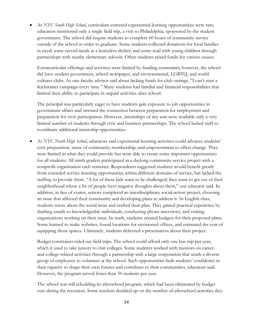• At *NYC South High School*, curriculum-centered experiential-learning opportunities were rare; educators mentioned only a single field trip, a visit to Philadelphia, sponsored by the student government. The school did require students to complete 60 hours of community service outside of the school in order to graduate. Some students collected donations for local families in need; some served meals at a homeless shelter; and some read with young children through partnerships with nearby elementary schools. Other students raised funds for various causes.

Extracurricular offerings and activities were limited by funding constraints; however, the school did have student government, school newspaper, and environmental, LGBTQ, and world cultures clubs. As one faculty advisor said about lacking funds for club outings, "I can't start a Kickstarter campaign every time." Many students had familial and financial responsibilities that limited their ability to participate in unpaid activities after school.

The principal was particularly eager to have students gain exposure to job opportunities in government affairs and stressed the connection between preparation for employment and preparation for civic participation. However, internships of any sort were available only a very limited number of students through civic and business partnerships. The school lacked staff to coordinate additional internship opportunities.

• At *NYC North High School*, educators said experiential-learning activities could advance students' civic preparation, sense of community membership, and empowerment to effect change. They were limited in what they could provide but were able to create some important opportunities for all students. All ninth graders participated in a daylong community-service project with a nonprofit organization each semester. Respondents suggested students would benefit greatly from extended service-learning opportunities within different domains of service, but lacked the staffing to provide them. "A lot of these kids want to be challenged; they want to get out of their neighborhood where a lot of people have negative thoughts about them," one educator said. In addition, in lieu of exams, seniors completed an interdisciplinary social-action project, choosing an issue that affected their community and developing plans to address it. In English class, students wrote about the social issue and crafted their plan. They gained practical experience by drafting emails to knowledgeable individuals, conducting phone interviews, and visiting organizations working on their issue. In math, students created budgets for their proposed plans. Some learned to make websites, found locations for envisioned offices, and estimated the cost of equipping those spaces. Ultimately, students delivered a presentation about their project.

Budget constraints ruled out field trips. The school could afford only one bus trip per year, which it used to take juniors to visit colleges. Some students worked with mentors on careerand college-related activities through a partnership with a large corporation that sends a diverse group of employees to volunteer at the school. Such opportunities built students' confidence in their capacity to shape their own futures and contribute to their communities, educators said. However, the program served fewer than 50 students per year.

The school was still rebuilding its afterschool program, which had been eliminated by budget cuts during the recession. Some teachers doubled up on the number of afterschool activities they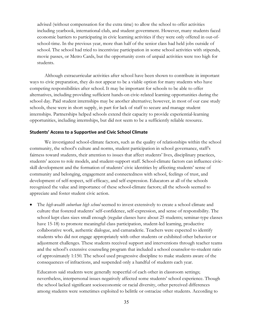advised (without compensation for the extra time) to allow the school to offer activities including yearbook, international club, and student government. However, many students faced economic barriers to participating in civic learning activities if they were only offered in out-ofschool-time. In the previous year, more than half of the senior class had held jobs outside of school. The school had tried to incentivize participation in some school activities with stipends, movie passes, or Metro Cards, but the opportunity costs of unpaid activities were too high for students.

Although extracurricular activities after school have been shown to contribute in important ways to civic preparation, they do not appear to be a viable option for many students who have competing responsibilities after school. It may be important for schools to be able to offer alternatives, including providing sufficient hands-on civic-related learning opportunities during the school day. Paid student internships may be another alternative; however, in most of our case study schools, these were in short supply, in part for lack of staff to secure and manage student internships. Partnerships helped schools extend their capacity to provide experiential-learning opportunities, including internships, but did not seem to be a sufficiently reliable resource.

# **Students' Access to a Supportive and Civic School Climate**

We investigated school-climate factors, such as the quality of relationships within the school community, the school's culture and norms, student participation in school governance, staff's fairness toward students, their attention to issues that affect students' lives, disciplinary practices, students' access to role models, and student-support staff. School-climate factors can influence civicskill development and the formation of students' civic identities by affecting students' sense of community and belonging, engagement and connectedness with school, feelings of trust, and development of self-respect, self-efficacy, and self-expression. Educators at all of the schools recognized the value and importance of these school-climate factors; all the schools seemed to appreciate and foster student civic action.

• The *high-wealth suburban high school* seemed to invest extensively to create a school climate and culture that fostered students' self-confidence, self-expression, and sense of responsibility. The school kept class sizes small enough (regular classes have about 25 students; seminar-type classes have 15-18) to promote meaningful class participation, student-led learning, productive collaborative work, authentic dialogue, and camaraderie. Teachers were expected to identify students who did not engage appropriately with other students or exhibited other behavior or adjustment challenges. These students received support and interventions through teacher teams and the school's extensive counseling program that included a school counselor-to-student ratio of approximately 1:150. The school used progressive discipline to make students aware of the consequences of infractions, and suspended only a handful of students each year.

Educators said students were generally respectful of each other in classroom settings; nevertheless, interpersonal issues negatively affected some students' school experience. Though the school lacked significant socioeconomic or racial diversity, other perceived differences among students were sometimes exploited to belittle or ostracize other students. According to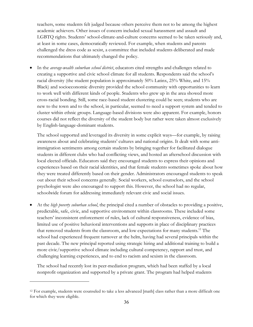teachers, some students felt judged because others perceive them not to be among the highest academic achievers. Other issues of concern included sexual harassment and assault and LGBTQ rights. Students' school-climate-and-culture concerns seemed to be taken seriously and, at least in some cases, democratically reviewed. For example, when students and parents challenged the dress code as sexist, a committee that included students deliberated and made recommendations that ultimately changed the policy.

• In the *average-wealth suburban school district*, educators cited strengths and challenges related to creating a supportive and civic school climate for all students. Respondents said the school's racial diversity (the student population is approximately 50% Latinx, 25% White, and 15% Black) and socioeconomic diversity provided the school community with opportunities to learn to work well with different kinds of people. Students who grew up in the area showed more cross-racial bonding. Still, some race-based student clustering could be seen; students who are new to the town and to the school, in particular, seemed to need a support system and tended to cluster within ethnic groups. Language-based divisions were also apparent. For example, honors courses did not reflect the diversity of the student body but rather were taken almost exclusively by English-language-dominant students.

The school supported and leveraged its diversity in some explicit ways—for example, by raising awareness about and celebrating students' cultures and national origins. It dealt with some antiimmigration sentiments among certain students by bringing together for facilitated dialogue students in different clubs who had conflicting views, and hosted an afterschool discussion with local elected officials. Educators said they encouraged students to express their opinions and experiences based on their racial identities, and that female students sometimes spoke about how they were treated differently based on their gender. Administrators encouraged students to speak out about their school concerns generally. Social workers, school counselors, and the school psychologist were also encouraged to support this. However, the school had no regular, schoolwide forum for addressing immediately relevant civic and social issues.

• At the *high poverty suburban school*, the principal cited a number of obstacles to providing a positive, predictable, safe, civic, and supportive environment within classrooms. These included some teachers' inconsistent enforcement of rules, lack of cultural responsiveness, evidence of bias, limited use of positive behavioral interventions and supports in place of disciplinary practices that removed students from the classroom, and low expectations for many students.12 The school had experienced frequent turnover at the helm, having had several principals within the past decade. The new principal reported using strategic hiring and additional training to build a more civic/supportive school climate including cultural competency, rapport and trust, and challenging learning experiences, and to end to racism and sexism in the classroom.

The school had recently lost its peer-mediation program, which had been staffed by a local nonprofit organization and supported by a private grant. The program had helped students

 $\overline{a}$ 

<sup>12</sup> For example, students were counseled to take a less advanced [math] class rather than a more difficult one for which they were eligible.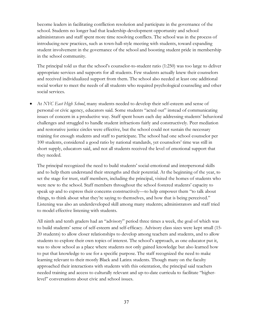become leaders in facilitating confliction resolution and participate in the governance of the school. Students no longer had that leadership-development opportunity and school administrators and staff spent more time resolving conflicts. The school was in the process of introducing new practices, such as town-hall-style meeting with students, toward expanding student involvement in the governance of the school and boosting student pride in membership in the school community.

The principal told us that the school's counselor-to-student ratio (1:250) was too large to deliver appropriate services and supports for all students. Few students actually knew their counselors and received individualized support from them. The school also needed at least one additional social worker to meet the needs of all students who required psychological counseling and other social services.

• At *NYC East High School*, many students needed to develop their self-esteem and sense of personal or civic agency, educators said. Some students "acted out" instead of communicating issues of concern in a productive way. Staff spent hours each day addressing students' behavioral challenges and struggled to handle student infractions fairly and constructively. Peer mediation and restorative justice circles were effective, but the school could not sustain the necessary training for enough students and staff to participate. The school had one school counselor per 100 students, considered a good ratio by national standards, yet counselors' time was still in short supply, educators said, and not all students received the level of emotional support that they needed.

The principal recognized the need to build students' social-emotional and interpersonal skills and to help them understand their strengths and their potential. At the beginning of the year, to set the stage for trust, staff members, including the principal, visited the homes of students who were new to the school. Staff members throughout the school fostered students' capacity to speak up and to express their concerns constructively—to help empower them "to talk about things, to think about what they're saying to themselves, and how that is being perceived." Listening was also an underdeveloped skill among many students; administrators and staff tried to model effective listening with students.

All ninth and tenth graders had an "advisory" period three times a week, the goal of which was to build students' sense of self-esteem and self-efficacy. Advisory class sizes were kept small (15- 20 students) to allow closer relationships to develop among teachers and students, and to allow students to explore their own topics of interest. The school's approach, as one educator put it, was to show school as a place where students not only gained knowledge but also learned how to put that knowledge to use for a specific purpose. The staff recognized the need to make learning relevant to their mostly Black and Latinx students. Though many on the faculty approached their interactions with students with this orientation, the principal said teachers needed training and access to culturally relevant and up-to-date curricula to facilitate "higherlevel" conversations about civic and school issues.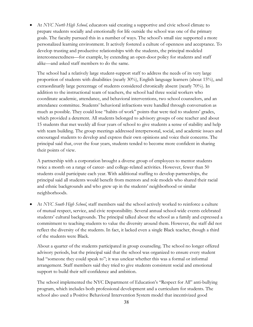• At *NYC North High School,* educators said creating a supportive and civic school climate to prepare students socially and emotionally for life outside the school was one of the primary goals. The faculty pursued this in a number of ways. The school's small size supported a more personalized learning environment. It actively fostered a culture of openness and acceptance. To develop trusting and productive relationships with the students, the principal modeled interconnectedness—for example, by extending an open-door policy for students and staff alike—and asked staff members to do the same.

The school had a relatively large student-support staff to address the needs of its very large proportion of students with disabilities (nearly 30%), English language learners (about 15%), and extraordinarily large percentage of students considered chronically absent (nearly 70%). In addition to the instructional team of teachers, the school had three social workers who coordinate academic, attendance, and behavioral interventions, two school counselors, and an attendance committee. Students' behavioral infractions were handled through conversation as much as possible. They could lose "habits of work" points that were tied to students' grades, which provided a deterrent. All students belonged to advisory groups of one teacher and about 15 students that met weekly all four years of school to give students a sense of stability and help with team building. The group meetings addressed interpersonal, social, and academic issues and encouraged students to develop and express their own opinions and voice their concerns. The principal said that, over the four years, students tended to become more confident in sharing their points of view.

A partnership with a corporation brought a diverse group of employees to mentor students twice a month on a range of career- and college-related activities. However, fewer than 50 students could participate each year. With additional staffing to develop partnerships, the principal said all students would benefit from mentors and role models who shared their racial and ethnic backgrounds and who grew up in the students' neighborhood or similar neighborhoods.

• At *NYC South High School*, staff members said the school actively worked to reinforce a culture of mutual respect, service, and civic responsibility. Several annual school-wide events celebrated students' cultural backgrounds. The principal talked about the school as a family and expressed a commitment to teaching students to value the diversity around them. However, the staff did not reflect the diversity of the students. In fact, it lacked even a single Black teacher, though a third of the students were Black.

About a quarter of the students participated in group counseling. The school no longer offered advisory periods, but the principal said that the school was organized to ensure every student had "someone they could speak to"; it was unclear whether this was a formal or informal arrangement. Staff members said they tried to give students consistent social and emotional support to build their self-confidence and ambition.

The school implemented the NYC Department of Education's "Respect for All" anti-bullying program, which includes both professional development and a curriculum for students. The school also used a Positive Behavioral Intervention System model that incentivized good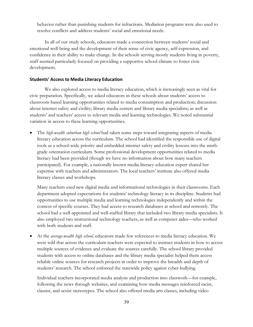behavior rather than punishing students for infractions. Mediation programs were also used to resolve conflicts and address students' social and emotional needs.

In all of our study schools, educators made a connection between students' social and emotional well-being and the development of their sense of civic agency, self-expression, and confidence in their ability to make change. In the schools serving mostly students living in poverty, staff seemed particularly focused on providing a supportive school climate to foster civic development.

# **Students' Access to Media Literacy Education**

We also explored access to media literacy education, which is increasingly seen as vital for civic preparation. Specifically, we asked educators in these schools about students' access to classroom-based learning opportunities related to media consumption and production; discussion about internet safety and civility; library media centers and library media specialists; as well as students' and teachers' access to relevant media and learning technologies. We noted substantial variation in access to these learning opportunities.

• The *high-wealth suburban high school* had taken some steps toward integrating aspects of media literacy education across the curriculum. The school had identified the responsible use of digital tools as a school-wide priority and embedded internet safety and civility lessons into the ninthgrade orientation curriculum. Some professional development opportunities related to media literacy had been provided (though we have no information about how many teachers participated). For example, a nationally known media-literacy-education expert shared her expertise with teachers and administrators. The local teachers' institute also offered media literacy classes and workshops.

Many teachers used new digital media and informational technologies in their classrooms. Each department adopted expectations for students' technology literacy in its discipline. Students had opportunities to use multiple media and learning technologies independently and within the context of specific courses. They had access to research databases at school and remotely. The school had a well-appointed and well-staffed library that included two library media specialists. It also employed two instructional technology teachers, as well as computer aides—who worked with both students and staff.

• At the *average-wealth high school,* educators made few references to media literacy education. We were told that across the curriculum teachers were expected to instruct students in how to access multiple sources of evidence and evaluate the sources carefully. The school library provided students with access to online databases and the library media specialist helped them access reliable online sources for research projects in order to improve the breadth and depth of students' research. The school enforced the statewide policy against cyber-bullying.

Individual teachers incorporated media analysis and production into classwork—for example, following the news through websites, and examining how media messages reinforced racist, classist, and sexist stereotypes. The school also offered media arts classes, including video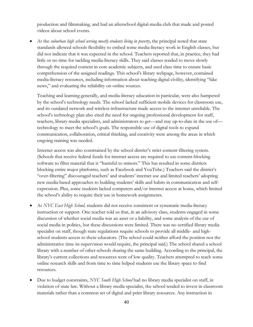production and filmmaking, and had an afterschool digital-media club that made and posted videos about school events.

• At the *suburban high school serving mostly students living in poverty*, the principal noted that state standards allowed schools flexibility to embed some media-literacy work in English classes, but did not indicate that it was expected in the school. Teachers reported that, in practice, they had little or no time for tackling media-literacy skills. They said classes tended to move slowly through the required content in core academic subjects, and used class time to ensure basic comprehension of the assigned readings. This school's library webpage, however, contained media-literacy resources, including information about teaching digital civility, identifying "fake news," and evaluating the reliability on online sources.

Teaching and learning generally, and media-literacy education in particular, were also hampered by the school's technology needs. The school lacked sufficient mobile devices for classroom use, and its outdated network and wireless infrastructure made access to the internet unreliable. The school's technology plan also cited the need for ongoing professional development for staff, teachers, library media specialists, and administrators to get—and stay up-to-date in the use of technology to meet the school's goals. The responsible use of digital tools to expand communication, collaboration, critical thinking, and creativity were among the areas in which ongoing training was needed.

Internet access was also constrained by the school district's strict content-filtering system. (Schools that receive federal funds for internet access are required to use content-blocking software to filter material that is "harmful to minors." This has resulted in some districts blocking entire major platforms, such as Facebook and YouTube.) Teachers said the district's "over-filtering" discouraged teachers' and students' internet use and limited teachers' adopting new media-based approaches to building students' skills and habits in communication and selfexpression. Plus, some students lacked computers and/or internet access at home, which limited the school's ability to require their use in homework assignments.

- At *NYC East High School,* students did not receive consistent or systematic media-literacy instruction or support. One teacher told us that, in an advisory class, students engaged in some discussion of whether social media was an asset or a liability, and some analysis of the use of social media in politics, but these discussions were limited. There was no certified library media specialist on staff, though state regulations require schools to provide all middle- and highschool students access to these educators. (The school could neither afford the position nor the administrative time its supervision would require, the principal said.) The school shared a school library with a number of other schools sharing the same building. According to the principal, the library's current collections and resources were of low quality. Teachers attempted to teach some online research skills and from time to time helped students use the library space to find resources.
- Due to budget constraints, *NYC South High School* had no library media specialist on staff, in violation of state law. Without a library media specialist, the school tended to invest in classroom materials rather than a common set of digital and print library resources. Any instruction in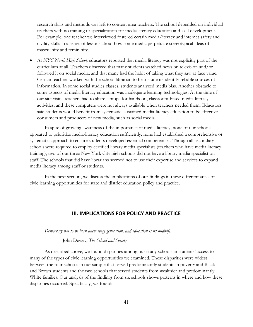research skills and methods was left to content-area teachers. The school depended on individual teachers with no training or specialization for media-literacy education and skill development. For example, one teacher we interviewed fostered certain media-literacy and internet safety and civility skills in a series of lessons about how some media perpetuate stereotypical ideas of masculinity and femininity.

• At *NYC North High School,* educators reported that media literacy was not explicitly part of the curriculum at all. Teachers observed that many students watched news on television and/or followed it on social media, and that many had the habit of taking what they saw at face value. Certain teachers worked with the school librarian to help students identify reliable sources of information. In some social studies classes, students analyzed media bias. Another obstacle to some aspects of media-literacy education was inadequate learning technologies. At the time of our site visits, teachers had to share laptops for hands-on, classroom-based media-literacy activities, and these computers were not always available when teachers needed them. Educators said students would benefit from systematic, sustained media-literacy education to be effective consumers and producers of new media, such as social media.

In spite of growing awareness of the importance of media literacy, none of our schools appeared to prioritize media-literacy education sufficiently; none had established a comprehensive or systematic approach to ensure students developed essential competencies. Though all secondary schools were required to employ certified library media specialists (teachers who have media literacy training), two of our three New York City high schools did not have a library media specialist on staff. The schools that did have librarians seemed not to use their expertise and services to expand media literacy among staff or students.

In the next section, we discuss the implications of our findings in these different areas of civic learning opportunities for state and district education policy and practice.

# **III. IMPLICATIONS FOR POLICY AND PRACTICE**

#### *Democracy has to be born anew every generation, and education is its midwife.*

#### --John Dewey, *The School and Society*

As described above, we found disparities among our study schools in students' access to many of the types of civic learning opportunities we examined. These disparities were widest between the four schools in our sample that served predominantly students in poverty and Black and Brown students and the two schools that served students from wealthier and predominantly White families. Our analysis of the findings from six schools shows patterns in where and how these disparities occurred. Specifically, we found: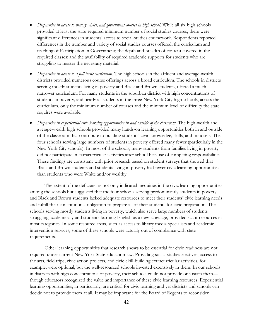- *Disparities in access to history, civics, and government courses in high school.* While all six high schools provided at least the state-required minimum number of social studies courses, there were significant differences in students' access to social-studies coursework. Respondents reported differences in the number and variety of social studies courses offered; the curriculum and teaching of Participation in Government; the depth and breadth of content covered in the required classes; and the availability of required academic supports for students who are struggling to master the necessary material.
- *Disparities in access to a full basic curriculum*. The high schools in the affluent and average-wealth districts provided numerous course offerings across a broad curriculum. The schools in districts serving mostly students living in poverty and Black and Brown students, offered a much narrower curriculum. For many students in the suburban district with high concentrations of students in poverty, and nearly all students in the three New York City high schools, across the curriculum, only the minimum number of courses and the minimum level of difficulty the state requires were available.
- *Disparities in experiential civic learning opportunities in and outside of the classroom***.** The high-wealth and average-wealth high schools provided many hands-on learning opportunities both in and outside of the classroom that contribute to building students' civic knowledge, skills, and mindsets. The four schools serving large numbers of students in poverty offered many fewer (particularly in the New York City schools). In most of the schools, many students from families living in poverty did not participate in extracurricular activities after school because of competing responsibilities. These findings are consistent with prior research based on student surveys that showed that Black and Brown students and students living in poverty had fewer civic learning opportunities than students who were White and/or wealthy.

The extent of the deficiencies not only indicated inequities in the civic learning opportunities among the schools but suggested that the four schools serving predominantly students in poverty and Black and Brown students lacked adequate resources to meet their students' civic learning needs and fulfill their constitutional obligation to prepare all of their students for civic preparation. The schools serving mostly students living in poverty, which also serve large numbers of students struggling academically and students learning English as a new language, provided scant resources in most categories. In some resource areas, such as access to library media specialists and academic intervention services, some of these schools were actually out of compliance with state requirements.

Other learning opportunities that research shows to be essential for civic readiness are not required under current New York State education law. Providing social studies electives, access to the arts, field trips, civic action projects, and civic-skill-building extracurricular activities, for example, were optional, but the well-resourced schools invested extensively in them. In our schools in districts with high concentrations of poverty, their schools could not provide or sustain them though educators recognized the value and importance of these civic learning resources. Experiential learning opportunities, in particularly, are critical for civic learning and yet districts and schools can decide not to provide them at all. It may be important for the Board of Regents to reconsider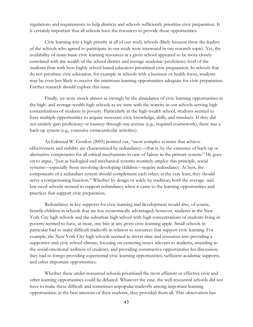regulations and requirements to help districts and schools sufficiently prioritize civic preparation. It is certainly important that all schools have the resources to provide these opportunities.

Civic learning was a high priority at all of our study schools (likely because these the leaders of the schools who agreed to participate in our study were interested in our research topic). Yet, the availability of many basic civic learning resources at a given school appeared to be more closely correlated with the wealth of the school district and average academic-proficiency level of the students than with how highly school-based educators prioritized civic preparation. In schools that do not prioritize civic education, for example in schools with a business or health focus, students may be even less likely to receive the minimum learning opportunities adequate for civic preparation. Further research should explore this issue.

Finally, we were struck almost as strongly by the abundance of civic learning opportunities in the high- and average-wealth high schools as we were with the scarcity in our schools serving high concentrations of students in poverty. Particularly in the high-wealth school, students seemed to have multiple opportunities to acquire necessary civic knowledge, skills, and mindsets. If they did not entirely gain proficiency or mastery through one avenue (e.g., required coursework), there was a back-up system (e.g., extensive extracurricular activities).

As Edmund W. Gordon (2005) pointed out, "most complex systems that achieve effectiveness and stability are characterized by redundancy—that is, by the existence of back-up or alternative components for all critical mechanisms in case of failure in the primary system." He goes on to argue, "Just as biological and mechanical systems routinely employ this principle, social systems—especially those involving developing children—require redundancy. At best, the components of a redundant system should complement each other; at the very least, they should serve a compensating function." Whether by design or solely by tradition, both the average- and low-need schools seemed to support redundancy when it came to the learning opportunities and practices that support civic preparation.

Redundancy in key supports for civic learning and development would also, of course, benefit children in schools that are less economically advantaged; however, students in the New York City high schools and the suburban high school with high concentrations of students living in poverty seemed to have, at most, one bite at any given civic-learning apple. Small schools in particular had to make difficult tradeoffs in relation to resources that support civic learning. For example, the New York City high schools seemed to invest time and resources into providing a supportive and civic school climate, focusing on centering issues relevant to students, attending to the social-emotional wellness of students, and providing constructive opportunities for discussion; they had to forego providing experiential civic learning opportunities, sufficient academic supports, and other important opportunities.

Whether these under-resourced schools prioritized the most efficient or effective civic and other learning opportunities could be debated. Whatever the case, the well-resourced schools did not have to make these difficult and sometimes unpopular tradeoffs among important learning opportunities; in the best interests of their students, they provided them all. This observation has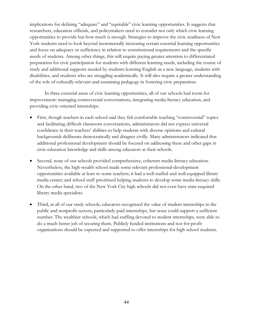implications for defining "adequate" and "equitable" civic learning opportunities. It suggests that researchers, education officials, and policymakers need to consider not only which civic learning opportunities to provide but how much is enough. Strategies to improve the civic readiness of New York students need to look beyond incrementally increasing certain essential learning opportunities and focus on adequacy or sufficiency in relation to constitutional requirements and the specific needs of students. Among other things, this will require paying greater attention to differentiated preparation for civic participation for students with different learning needs, including the course of study and additional supports needed by students learning English as a new language, students with disabilities, and students who are struggling academically. It will also require a greater understanding of the role of culturally-relevant-and-sustaining pedagogy in fostering civic preparation.

In three essential areas of civic learning opportunities, all of our schools had room for improvement: managing controversial conversations, integrating media-literacy education, and providing civic-oriented internships.

- First, though teachers in each school said they felt comfortable teaching "controversial" topics and facilitating difficult classroom conversations, administrators did not express universal confidence in their teachers' abilities to help students with diverse opinions and cultural backgrounds deliberate democratically and disagree civilly. Many administrators indicated that additional professional development should be focused on addressing these and other gaps in civic-education knowledge and skills among educators at their schools.
- Second, none of our schools provided comprehensive, coherent media-literacy education. Nevertheless, the high-wealth school made some relevant professional-development opportunities available at least to some teachers; it had a well-staffed and well-equipped library media center; and school staff prioritized helping students to develop some media-literacy skills. On the other hand, two of the New York City high schools did not even have state-required library media specialists.
- Third, at all of our study schools, educators recognized the value of student internships in the public and nonprofit sectors, particularly paid internships, but none could support a sufficient number. The wealthier schools, which had staffing devoted to student internships, were able to do a much better job of securing them. Publicly funded institutions and not-for-profit organizations should be expected and supported to offer internships for high school students.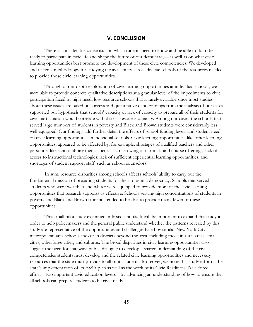# **V. CONCLUSION**

There is considerable consensus on what students need to know and be able to do to be ready to participate in civic life and shape the future of our democracy—as well as on what civic learning opportunities best promote the development of these civic competencies. We developed and tested a methodology for studying the availability across diverse schools of the resources needed to provide those civic learning opportunities.

Through our in-depth exploration of civic learning opportunities at individual schools, we were able to provide concrete qualitative descriptions at a granular level of the impediments to civic participation faced by high-need, low-resource schools that is rarely available since most studies about these issues are based on surveys and quantitative data. Findings from the analysis of our cases supported our hypothesis that schools' capacity or lack of capacity to prepare all of their students for civic participation would correlate with district resource capacity. Among our cases, the schools that served large numbers of students in poverty and Black and Brown students were considerably less well equipped. Our findings add further detail the effects of school-funding levels and student need on civic learning opportunities in individual schools. Civic learning opportunities, like other learning opportunities, appeared to be affected by, for example, shortages of qualified teachers and other personnel like school library media specialists; narrowing of curricula and course offerings; lack of access to instructional technologies; lack of sufficient experiential learning opportunities; and shortages of student support staff, such as school counselors.

In sum, resource disparities among schools affects schools' ability to carry out the fundamental mission of preparing students for their roles in a democracy. Schools that served students who were wealthier and whiter were equipped to provide more of the civic learning opportunities that research supports as effective. Schools serving high concentrations of students in poverty and Black and Brown students tended to be able to provide many fewer of these opportunities.

This small pilot study examined only six schools. It will be important to expand this study in order to help policymakers and the general public understand whether the patterns revealed by this study are representative of the opportunities and challenges faced by similar New York City metropolitan area schools and/or in districts beyond the area, including those in rural areas, small cities, other large cities, and suburbs. The broad disparities in civic learning opportunities also suggest the need for statewide public dialogue to develop a shared understanding of the civic competencies students must develop and the related civic learning opportunities and necessary resources that the state must provide to all of its students. Moreover, we hope this study informs the state's implementation of its ESSA plan as well as the work of its Civic Readiness Task Force effort—two important civic-education levers—by advancing an understanding of how to ensure that all schools can prepare students to be civic ready.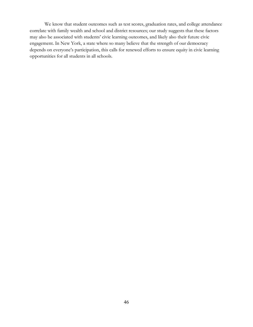We know that student outcomes such as test scores, graduation rates, and college attendance correlate with family wealth and school and district resources; our study suggests that these factors may also be associated with students' civic learning outcomes, and likely also their future civic engagement. In New York, a state where so many believe that the strength of our democracy depends on everyone's participation, this calls for renewed efforts to ensure equity in civic learning opportunities for all students in all schools.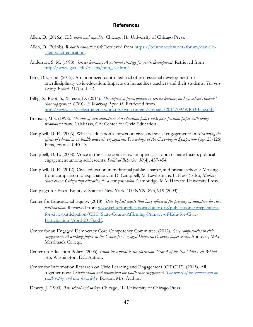# **References**

- Allen, D. (2016a). *Education and equality.* Chicago, IL: University of Chicago Press.
- Allen, D. (2016b). *What is education for*? Retrieved from https://bostonreview.net/forum/danielleallen-what-education.
- Anderson, S. M. (1998). *Service learning: A national strategy for youth development*. Retrieved from http://www.gwu.edu/~ccps/pop\_svc.html.
- Barr, D.J., et al. (2015). A randomized controlled trial of professional development for interdisciplinary civic education: Impacts on humanities teachers and their students. *Teachers College Record, 117*(2), 1-52.
- Billig, S., Root, S., & Jesse, D. (2014). *The impact of participation in service learning on high school students' civic engagement*. *CIRCLE Working Paper 33*. Retrieved from http://www.servicelearningnetwork.org/wp-content/uploads/2014/09/WP33Billig.pdf.
- Branson, M.S. (1998). *The role of civic education: An education policy task force position paper with policy recommendations.* Calabasas, CA: Center for Civic Education.
- Campbell, D. E. (2006). What is education's impact on civic and social engagement? In *Measuring the effects of education on health and civic engagement: Proceedings of the Copenhagen Symposium* (pp. 25-126). Paris, France: OECD.
- Campbell, D. E. (2008). Voice in the classroom: How an open classroom climate fosters political engagement among adolescents. *Political Behavior*, *30*(4), 437-454.
- Campbell, D. E. (2012). Civic education in traditional public, charter, and private schools: Moving from comparison to explanation. In D. Campbell, M. Levinson, & F. Hess (Eds.), *Making civics count*: *Citizenship education for a new generation.* Cambridge, MA: Harvard University Press.
- Campaign for Fiscal Equity v. State of New York, 100 NY2d 893, 919 (2003).
- Center for Educational Equity. (2018). *State highest courts that have affirmed the primacy of education for civic participation.* Retrieved from www.centerforeducationalequity.org/publications/preparationfor-civic-participation/CEE\_State-Courts-Affirming-Primacy-of-Edu-for-Civic-Participation-(April-2018).pdf.
- Center for an Engaged Democracy Core Competency Committee. (2012). *Core competencies in civic*  engagement: A working paper in the Center for Engaged Democracy's policy paper series. Andover, MA: Merrimack College.
- Center on Education Policy. (2006). *From the capital to the classroom: Year 4 of the No Child Left Behind Act.* Washington, DC: Author.
- Center for Information Research on Civic Learning and Engagement (CIRCLE). (2013). All together now: *Collaboration and innovation for youth civic engagement. The report of the commission on youth voting and civic knowledge.* Boston, MA: Author.
- Dewey, J. (1900). *The school and society.* Chicago, IL: University of Chicago Press.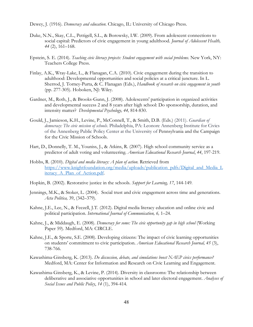Dewey, J. (1916). *Democracy and education*. Chicago, IL: University of Chicago Press.

- Duke, N.N., Skay, C.L., Pettigell, S.L., & Borowsky, I.W. (2009). From adolescent connections to social capital: Predictors of civic engagement in young adulthood. *Journal of Adolescent Health, 44* (2), 161–168.
- Epstein, S. E. (2014). *Teaching civic literacy projects: Student engagement with social problems.* New York, NY: Teachers College Press.
- Finlay, A.K., Wray-Lake, L., & Flanagan, C.A. (2010). Civic engagement during the transition to adulthood: Developmental opportunities and social policies at a critical juncture. In L. Sherrod, J. Torney-Purta, & C. Flanagan (Eds.), *Handbook of research on civic engagement in youth*  (pp. 277-305). Hoboken, NJ: Wiley.
- Gardner, M., Roth, J., & Brooks-Gunn, J. (2008). Adolescents' participation in organized activities and developmental success 2 and 8 years after high school: Do sponsorship, duration, and intensity matter? *Developmental Psychology, 44,* 814-830.
- Gould, J., Jamieson, K.H., Levine, P., McConnell, T., & Smith, D.B. (Eds.) (2011). *Guardian of democracy: The civic mission of schools*. Philadelphia, PA: Leonore Annenberg Institute for Civics of the Annenberg Public Policy Center at the University of Pennsylvania and the Campaign for the Civic Mission of Schools.
- Hart, D., Donnelly, T. M., Youniss, J., & Atkins, R. (2007). High school community service as a predictor of adult voting and volunteering. *American Educational Research Journal*, *44*, 197-219.
- Hobbs, R. (2010). *Digital and media literacy: A plan of action.* Retrieved from https://www.knightfoundation.org/media/uploads/publication\_pdfs/Digital\_and\_Media\_L iteracy\_A\_Plan\_of\_Action.pdf.
- Hopkin, B. (2002). Restorative justice in the schools. *Support for Learning, 17*, 144-149.
- Jennings, M.K., & Stoker, L. (2004). Social trust and civic engagement across time and generations. *Acta Politica,* 39, (342–379).
- Kahne, J.E., Lee, N., & Feezell, J.T. (2012). Digital media literacy education and online civic and political participation. *International Journal of Communication, 6,* 1–24.
- Kahne, J., & Middaugh, E. (2008). *Democracy for some: The civic opportunity gap in high school* (Working Paper 59). Medford, MA: CIRCLE.
- Kahne, J.E., & Sporte, S.E. (2008). Developing citizens: The impact of civic learning opportunities on students' commitment to civic participation. *American Educational Research Journal, 45* (3), 738-766.
- Kawashima-Ginsberg, K. (2013). *Do discussion, debate, and simulations boost NAEP civics performance?* Medford, MA: Center for Information and Research on Civic Learning and Engagement.
- Kawashima-Ginsberg, K., & Levine, P. (2014). Diversity in classrooms: The relationship between deliberative and associative opportunities in school and later electoral engagement. *Analyses of Social Issues and Public Policy*, *14* (1), 394-414.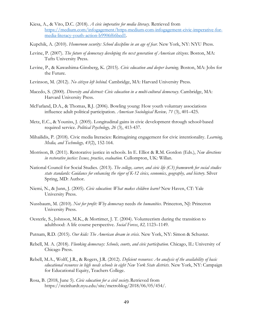- Kiesa, A., & Vito, D.C. (2018). *A civic imperative for media literacy*. Retrieved from https://medium.com/infogagement/https-medium-com-infogagement-civic-imperative-formedia-literacy-youth-action-b9906f66bed1.
- Kupchik, A. (2010). *Homeroom security: School discipline in an age of fear*. New York, NY: NYU Press.
- Levine, P. (2007). *The future of democracy developing the next generation of American citizens.* Boston, MA: Tufts University Press.
- Levine, P., & Kawashima-Ginsberg, K. (2015). *Civic education and deeper learning*. Boston, MA: Jobs for the Future.
- Levinson, M. (2012). *No citizen left behind.* Cambridge, MA: Harvard University Press.
- Macedo, S. (2000). *Diversity and distrust: Civic education in a multi-cultural democracy*. Cambridge, MA: Harvard University Press.
- McFarland, D.A., & Thomas, R.J. (2006). Bowling young: How youth voluntary associations influence adult political participation. *American Sociological Review, 71* (3), 401–425.
- Metz, E.C., & Youniss, J. (2005). Longitudinal gains in civic development through school-based required service. *Political Psychology, 26* (3), 413-437.
- Mihailidis, P. (2018). Civic media literacies: Reimagining engagement for civic intentionality. *Learning, Media, and Technology, 43*(2), 152-164.
- Morrison, B. (2011). Restorative justice in schools. In E. Elliot & R.M. Gordon (Eds.), *New directions in restorative justice: Issues, practice, evaluation.* Cullompton, UK: Willan.
- National Council for Social Studies. (2013). *The college, career, and civic life (C3) framework for social studies state standards: Guidance for enhancing the rigor of K-12 civics, economics, geography, and history.* Silver Spring, MD: Author.
- Niemi, N., & Junn, J. (2005). *Civic education: What makes children learn?* New Haven, CT: Yale University Press.
- Nussbaum, M. (2010). *Not for profit: Why democracy* needs *the humanities*. Princeton, NJ: Princeton University Press.
- Oesterle, S., Johnson, M.K., & Mortimer, J. T. (2004). Volunteerism during the transition to adulthood: A life course perspective. *Social Forces*, *82,* 1123–1149.
- Putnam, R.D. (2015). *Our kids: The American dream in crisis.* New York, NY: Simon & Schuster.
- Rebell, M. A. (2018). *Flunking democracy: Schools, courts, and civic participation*. Chicago, IL: University of Chicago Press.
- Rebell, M.A., Wolff, J.R., & Rogers, J.R. (2012). *Deficient resources: An analysis of the availability of basic educational resources in high needs schools in eight New York State districts.* New York, NY: Campaign for Educational Equity, Teachers College.
- Rosa, B. (2018, June 5). *Civic education for a civil society*.Retrieved from https://steinhardt.nyu.edu/site/metroblog/2018/06/05/454/.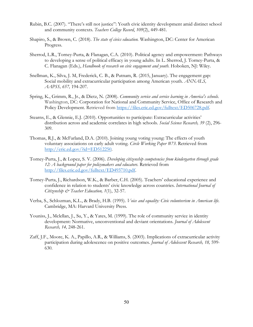- Rubin, B.C. (2007). "There's still not justice": Youth civic identity development amid distinct school and community contexts. *Teachers College Record*, *109*(2), 449-481.
- Shapiro, S., & Brown, C. (2018). *The state of civics education.* Washington, DC: Center for American Progress.
- Sherrod, L.R., Torney-Purta, & Flanagan, C.A. (2010). Political agency and empowerment: Pathways to developing a sense of political efficacy in young adults. In L. Sherrod, J. Torney-Purta, & C. Flanagan (Eds.), *Handbook of research on civic engagement and youth.* Hoboken, NJ: Wiley.
- Snellman, K., Silva, J. M, Frederick, C. B., & Putnam, R. (2015, January). The engagement gap: Social mobility and extracurricular participation among American youth. *ANNALS, AAPSS, 657,* 194-207.
- Spring, K., Grimm, R., Jr., & Dietz, N. (2008). *Community service and service learning in America's schools.*  Washington, DC: Corporation for National and Community Service, Office of Research and Policy Development. Retrieved from https://files.eric.ed.gov/fulltext/ED506728.pdf.
- Stearns, E., & Glennie, E.J. (2010). Opportunities to participate: Extracurricular activities' distribution across and academic correlates in high schools. *Social Science Research, 39* (2), 296- 309.
- Thomas, R.J., & McFarland, D.A. (2010). Joining young voting young: The effects of youth voluntary associations on early adult voting. *Circle Working Paper #73*. Retrieved from http://eric.ed.gov/?id=ED512250.
- Torney-Purta, J., & Lopez, S. V. (2006). *Developing citizenship competencies from kindergarten through grade 12: A background paper for policymakers and educators.* Retrieved from http://files.eric.ed.gov/fulltext/ED493710.pdf.
- Torney-Purta, J., Richardson, W.K., & Barber, C.H. (2005). Teachers' educational experience and confidence in relation to students' civic knowledge across countries. *International Journal of Citizenship & Teacher Education, 1*(1), 32-57.
- Verba, S., Schlozman, K.L., & Brady, H.B. (1995). *Voice and equality: Civic volunteerism in American life.*  Cambridge, MA: Harvard University Press.
- Youniss, J., Mclellan, J., Su, Y., & Yates, M. (1999). The role of community service in identity development: Normative, unconventional and deviant orientations. *Journal of Adolescent Research, 14,* 248-261.
- Zaff, J.F., Moore, K. A., Papillo, A.R., & Williams, S. (2003). Implications of extracurricular activity participation during adolescence on positive outcomes. *Journal of Adolescent Research, 18,* 599- 630.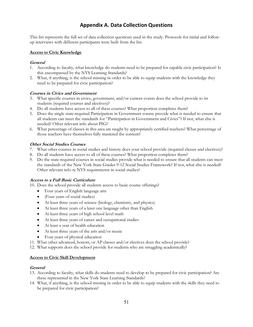# **Appendix A. Data Collection Questions**

This list represents the full set of data collection questions used in the study. Protocols for initial and followup interviews with different participants were built from the list.

# **Access to Civic Knowledge**

#### **General**

- 1. According to faculty, what knowledge do students need to be prepared for capable civic participation? Is this encompassed by the NYS Learning Standards?
- 2. What, if anything, is the school missing in order to be able to equip students with the knowledge they need to be prepared for civic participation?

# **Courses in Civics and Government**

- 3. What specific courses in civics, government, and/or current events does the school provide to its students (required courses and electives)?
- 4. Do all students have access to all of these courses? What proportion completes them?
- 5. Does the single state-required Participation in Government course provide what is needed to ensure that all students can meet the standards for "Participation in Government and Civics"? If not, what else is needed? Other relevant info about PIG?
- 6. What percentage of classes in this area are taught by appropriately certified teachers? What percentage of those teachers have themselves fully mastered the content?

# **Other Social Studies Courses**

- 7. What other courses in social studies and history does your school provide (required classes and electives)?
- 8. Do all students have access to all of these courses? What proportion completes them?
- 9. Do the state-required courses in social studies provide what is needed to ensure that all students can meet the standards of the New York State Grades 9-12 Social Studies Framework? If not, what else is needed? Other relevant info re NYS requirements in social studies?

#### **Access to a Full Basic Curriculum**

10. Does the school provide all students access to basic course offerings?

- Four years of English language arts
- (Four years of social studies)
- At least three years of science (biology, chemistry, and physics)
- At least three years of a least one language other than English
- At least three years of high school level math
- At least three years of career and occupational studies
- At least a year of health education
- At least three years of the arts and/or music
- Four years of physical education
- 11. What other advanced, honors, or AP classes and/or electives does the school provide?
- 12. What supports does the school provide for students who are struggling academically?

#### **Access to Civic Skill Development**

#### **General**

- 13. According to faculty, what skills do students need to develop to be prepared for civic participation? Are these represented in the New York State Learning Standards?
- 14. What, if anything, is the school missing in order to be able to equip students with the skills they need to be prepared for civic participation?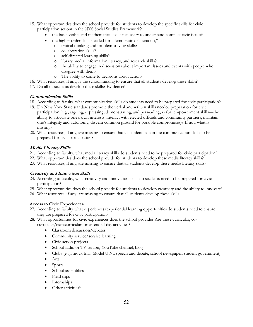- 15. What opportunities does the school provide for students to develop the specific skills for civic participation set out in the NYS Social Studies Framework?
	- the basic verbal and mathematical skills necessary to understand complex civic issues?
	- the higher order skills needed for "democratic deliberation,"
		- o critical thinking and problem solving skills?
			- o collaboration skills?
			- o self-directed learning skills?
			- o library media, information literacy, and research skills?
			- the ability to engage in discussions about important issues and events with people who disagree with them?
			- o The ability to come to decisions about action?
- 16. What resources, if any, is the school missing to ensure that all students develop these skills?
- 17. Do all of students develop these skills? Evidence?

# **Communication Skills**

- 18. According to faculty, what communication skills do students need to be prepared for civic participation?
- 19. Do New York State standards promote the verbal and written skills needed preparation for civic participation (e.g., arguing, expressing, demonstrating, and persuading, verbal empowerment skills—the ability to articulate one's own interests, interact with elected officials and community partners, maintain one's integrity and autonomy, discern common ground for possible compromises)? If not, what is missing?
- 20. What resources, if any, are missing to ensure that all students attain the communication skills to be prepared for civic participation?

# **Media Literacy Skills**

- 21. According to faculty, what media literacy skills do students need to be prepared for civic participation?
- 22. What opportunities does the school provide for students to develop these media literacy skills?
- 23. What resources, if any, are missing to ensure that all students develop these media literacy skills?

# **Creativity and Innovation Skills**

- 24. According to faculty, what creativity and innovation skills do students need to be prepared for civic participation?
- 25. What opportunities does the school provide for students to develop creativity and the ability to innovate?
- 26. What resources, if any, are missing to ensure that all students develop these skills

# **Access to Civic Experiences**

- 27. According to faculty what experiences/experiential learning opportunities do students need to ensure they are prepared for civic participation?
- 28. What opportunities for civic experiences does the school provide? Are these curricular, cocurricular/extracurricular, or extended-day activities?
	- Classroom discussion/debates
	- Community service/service learning
	- Civic action projects
	- School radio or TV station, YouTube channel, blog
	- Clubs (e.g., mock trial, Model U.N., speech and debate, school newspaper, student government)
	- Arts
	- Sports
	- School assemblies
	- Field trips
	- Internships
	- Other activities?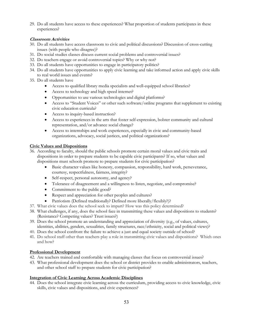29. Do all students have access to these experiences? What proportion of students participates in these experiences?

# **Classroom Activities**

- 30. Do all students have access classroom to civic and political discussions? Discussion of cross-cutting issues (with people who disagree)?
- 31. Do social studies classes discuss current social problems and controversial issues?
- 32. Do teachers engage or avoid controversial topics? Why or why not?
- 33. Do all students have opportunities to engage in participatory politics?
- 34. Do all students have opportunities to apply civic learning and take informed action and apply civic skills to real world issues and events?
- 35. Do all students have
	- Access to qualified library media specialists and well-equipped school libraries?
	- Access to technology and high speed internet?
	- Opportunities to use various technologies and digital platforms?
	- Access to "Student Voices" or other such software/online programs that supplement to existing civic education curricula?
	- Access to inquiry-based instruction?
	- Access to experiences in the arts that foster self-expression, bolster community and cultural representation, and/or advance social change?
	- Access to internships and work experiences, especially in civic and community-based organizations, advocacy, social justices, and political organizations?

# **Civic Values and Dispositions**

- 36. According to faculty, should the public schools promote certain moral values and civic traits and dispositions in order to prepare students to be capable civic participants? If so, what values and dispositions must schools promote to prepare students for civic participation?
	- Basic character values like honesty, compassion, responsibility, hard work, perseverance, courtesy, respectfulness, fairness, integrity?
	- Self-respect, personal autonomy, and agency?
	- Tolerance of disagreement and a willingness to listen, negotiate, and compromise?
	- Commitment to the public good?
	- Respect and appreciation for other peoples and cultures?
	- Patriotism (Defined traditionally? Defined more liberally/flexibly?)?
- 37. What civic values does the school seek to impart? How was this policy determined?
- 38. What challenges, if any, does the school face in transmitting these values and dispositions to students? (Resistance? Competing values? Trust issues?)
- 39. Does the school promote an understanding and appreciation of diversity (e.g., of values, cultures, identities, abilities, genders, sexualities, family structures, race/ethnicity, social and political views)?
- 40. Does the school confront the failure to achieve a just and equal society outside of school?
- 41. Do school staff other than teachers play a role in transmitting civic values and dispositions? Which ones and how?

#### **Professional Development**

- 42. Are teachers trained and comfortable with managing classes that focus on controversial issues?
- 43. What professional development does the school or district provides to enable administrators, teachers, and other school staff to prepare students for civic participation?

#### **Integration of Civic Learning Across Academic Disciplines**

44. Does the school integrate civic learning across the curriculum, providing access to civic knowledge, civic skills, civic values and dispositions, and civic experiences?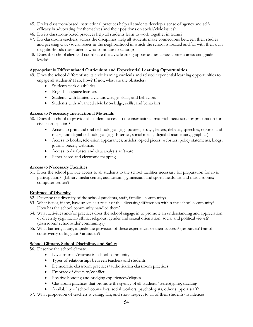- 45. Do its classroom-based instructional practices help all students develop a sense of agency and selfefficacy in advocating for themselves and their positions on social/civic issues?
- 46. Do its classroom-based practices help all students learn to work together in teams?
- 47. Do classroom teachers, across the disciplines, help all students make connections between their studies and pressing civic/social issues in the neighborhood in which the school is located and/or with their own neighborhoods (for students who commute to school)?
- 48. Does the school align and coordinate the civic learning opportunities across content areas and grade levels?

# **Appropriately Differentiated Curriculum and Experiential Learning Opportunities**

- 49. Does the school differentiate its civic learning curricula and related experiential learning opportunities to engage all students? If so, how? If not, what are the obstacles?
	- Students with disabilities
	- English language learners
	- Students with limited civic knowledge, skills, and behaviors
	- Students with advanced civic knowledge, skills, and behaviors

# **Access to Necessary Instructional Materials**

- 50. Does the school to provide all students access to the instructional materials necessary for preparation for civic participation?
	- Access to print and oral technologies (e.g., posters, essays, letters, debates, speeches, reports, and maps) and digital technologies (e.g., Internet, social media, digital documentary, graphics)
	- Access to books, television appearances, articles, op-ed pieces, websites, policy statements, blogs, journal pieces, webinars
	- Access to databases and data analysis software
	- Paper based and electronic mapping

# **Access to Necessary Facilities**

51. Does the school provide access to all students to the school facilities necessary for preparation for civic participation? (Library media center, auditorium, gymnasium and sports fields, art and music rooms; computer center?)

# **Embrace of Diversity**

- 52. Describe the diversity of the school (students, staff, families, community)
- 53. What issues, if any, have arisen as a result of this diversity/differences within the school community? How has the school community handled them?
- 54. What activities and/or practices does the school engage in to promote an understanding and appreciation of diversity (e.g., racial/ethnic, religious, gender and sexual orientation, social and political views)? (classroom? schoolwide? community?)
- 55. What barriers, if any, impede the provision of these experiences or their success? (resources? fear of controversy or litigation? attitudes?)

# **School Climate, School Discipline, and Safety**

56. Describe the school climate.

- Level of trust/distrust in school community
- Types of relationships between teachers and students
- Democratic classroom practices/authoritarian classroom practices
- Embrace of diversity/conflict
- Positive bonding and bridging experiences/cliques
- Classroom practices that promote the agency of all students/stereotyping, tracking
- Availability of school counselors, social workers, psychologists, other support staff?
- 57. What proportion of teachers is caring, fair, and show respect to all of their students? Evidence?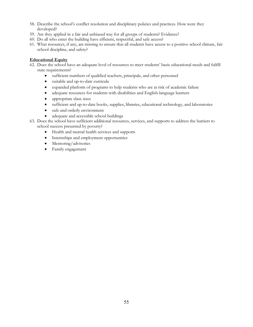- 58. Describe the school's conflict resolution and disciplinary policies and practices. How were they developed?
- 59. Are they applied in a fair and unbiased way for all groups of students? Evidence?
- 60. Do all who enter the building have efficient, respectful, and safe access?
- 61. What resources, if any, are missing to ensure that all students have access to a positive school climate, fair school discipline, and safety?

# **Educational Equity**

- 62. Does the school have an adequate level of resources to meet students' basic educational needs and fulfill state requirements?
	- sufficient numbers of qualified teachers, principals, and other personnel
	- suitable and up-to-date curricula
	- expanded platform of programs to help students who are at risk of academic failure
	- adequate resources for students with disabilities and English-language learners
	- appropriate class sizes
	- sufficient and up-to-date books, supplies, libraries, educational technology, and laboratories
	- safe and orderly environment
	- adequate and accessible school buildings
- 63. Does the school have sufficient additional resources, services, and supports to address the barriers to school success presented by poverty?
	- Health and mental health services and supports
	- Internships and employment opportunities
	- Mentoring/advisories
	- Family engagement